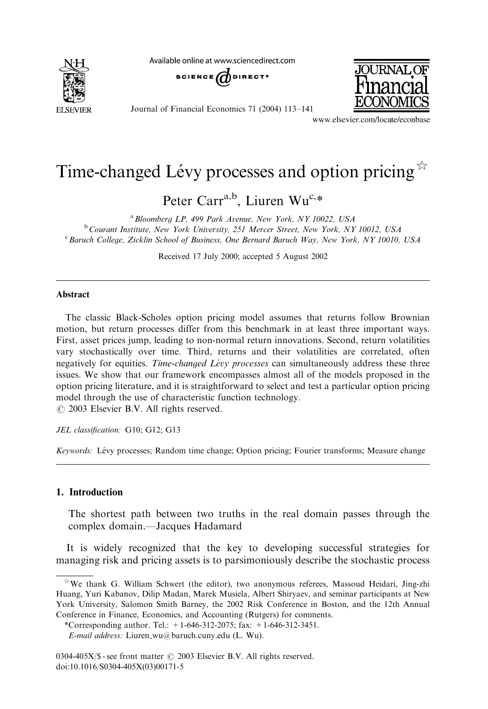

Available online at www.sciencedirect.com





Journal of Financial Economics 71 (2004) 113–141

www.elsevier.com/locate/econbase

# Time-changed Lévy processes and option pricing  $\mathbb{R}^{\mathbb{Z}}$

Peter Carr<sup>a,b</sup>, Liuren Wu<sup>c,\*</sup>

<sup>a</sup> Bloomberg LP, 499 Park Avenue, New York, NY 10022, USA <sup>b</sup> Courant Institute, New York University, 251 Mercer Street, New York, NY 10012, USA <sup>c</sup> Baruch College, Zicklin School of Business, One Bernard Baruch Way, New York, NY 10010, USA

Received 17 July 2000; accepted 5 August 2002

#### Abstract

The classic Black-Scholes option pricing model assumes that returns follow Brownian motion, but return processes differ from this benchmark in at least three important ways. First, asset prices jump, leading to non-normal return innovations. Second, return volatilities vary stochastically over time. Third, returns and their volatilities are correlated, often negatively for equities. Time-changed Lévy processes can simultaneously address these three issues. We show that our framework encompasses almost all of the models proposed in the option pricing literature, and it is straightforward to select and test a particular option pricing model through the use of characteristic function technology.  $\odot$  2003 Elsevier B.V. All rights reserved.

JEL classification: G10; G12; G13

Keywords: Lévy processes; Random time change; Option pricing; Fourier transforms; Measure change

# 1. Introduction

The shortest path between two truths in the real domain passes through the complex domain.—Jacques Hadamard

It is widely recognized that the key to developing successful strategies for managing risk and pricing assets is to parsimoniouslydescribe the stochastic process

 $\stackrel{\star}{\sim}$  We thank G. William Schwert (the editor), two anonymous referees, Massoud Heidari, Jing-zhi Huang, Yuri Kabanov, Dilip Madan, Marek Musiela, Albert Shiryaev, and seminar participants at New York University, Salomon Smith Barney, the 2002 Risk Conference in Boston, and the 12th Annual Conference in Finance, Economics, and Accounting (Rutgers) for comments.

<sup>\*</sup>Corresponding author. Tel.: +1-646-312-2075; fax: +1-646-312-3451.

E-mail address: Liuren wu@baruch.cuny.edu (L. Wu).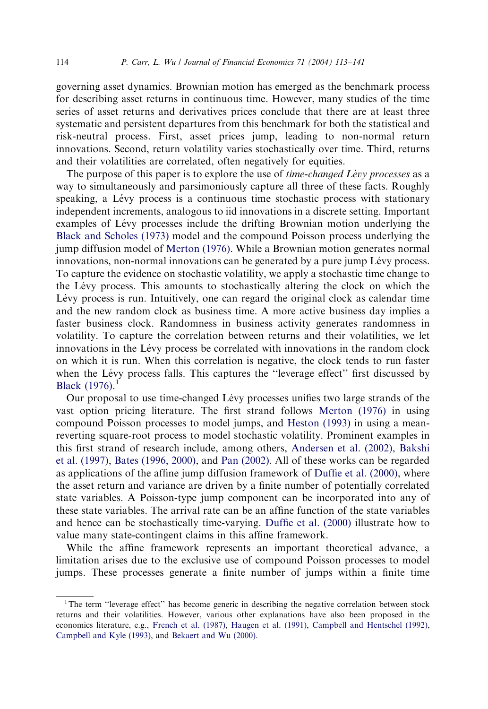governing asset dynamics. Brownian motion has emerged as the benchmark process for describing asset returns in continuous time. However, manystudies of the time series of asset returns and derivatives prices conclude that there are at least three systematic and persistent departures from this benchmark for both the statistical and risk-neutral process. First, asset prices jump, leading to non-normal return innovations. Second, return volatility varies stochastically over time. Third, returns and their volatilities are correlated, often negatively for equities.

The purpose of this paper is to explore the use of *time-changed Lévy processes* as a wayto simultaneouslyand parsimoniouslycapture all three of these facts. Roughly speaking, a Lévy process is a continuous time stochastic process with stationary independent increments, analogous to iid innovations in a discrete setting. Important examples of Lévy processes include the drifting Brownian motion underlying the [Black and Scholes \(1973\)](#page-26-0) model and the compound Poisson process underlying the jump diffusion model of [Merton \(1976\).](#page-28-0) While a Brownian motion generates normal innovations, non-normal innovations can be generated by a pure jump Lévy process. To capture the evidence on stochastic volatility, we apply a stochastic time change to the Lévy process. This amounts to stochastically altering the clock on which the Lévy process is run. Intuitively, one can regard the original clock as calendar time and the new random clock as business time. A more active business dayimplies a faster business clock. Randomness in business activity generates randomness in volatility. To capture the correlation between returns and their volatilities, we let innovations in the Lévy process be correlated with innovations in the random clock on which it is run. When this correlation is negative, the clock tends to run faster when the Lévy process falls. This captures the "leverage effect" first discussed by Black  $(1976).$ <sup>1</sup>

Our proposal to use time-changed Lévy processes unifies two large strands of the vast option pricing literature. The first strand follows [Merton \(1976\)](#page-28-0) in using compound Poisson processes to model jumps, and [Heston \(1993\)](#page-27-0) in using a meanreverting square-root process to model stochastic volatility. Prominent examples in this first strand of research include, among others, [Andersen et al. \(2002\),](#page-26-0) [Bakshi](#page-26-0) [et al. \(1997\)](#page-26-0), [Bates \(1996, 2000\),](#page-26-0) and [Pan \(2002\)](#page-28-0). All of these works can be regarded as applications of the affine jump diffusion framework of [Duffie et al. \(2000\),](#page-27-0) where the asset return and variance are driven bya finite number of potentiallycorrelated state variables. A Poisson-type jump component can be incorporated into any of these state variables. The arrival rate can be an affine function of the state variables and hence can be stochastically time-varying. [Duffie et al. \(2000\)](#page-27-0) illustrate how to value manystate-contingent claims in this affine framework.

While the affine framework represents an important theoretical advance, a limitation arises due to the exclusive use of compound Poisson processes to model jumps. These processes generate a finite number of jumps within a finite time

<sup>&</sup>lt;sup>1</sup>The term "leverage effect" has become generic in describing the negative correlation between stock returns and their volatilities. However, various other explanations have also been proposed in the economics literature, e.g., [French et al. \(1987\)](#page-27-0), [Haugen et al. \(1991\)](#page-27-0), [Campbell and Hentschel \(1992\)](#page-26-0), [Campbell and Kyle \(1993\),](#page-26-0) and [Bekaert and Wu \(2000\)](#page-26-0).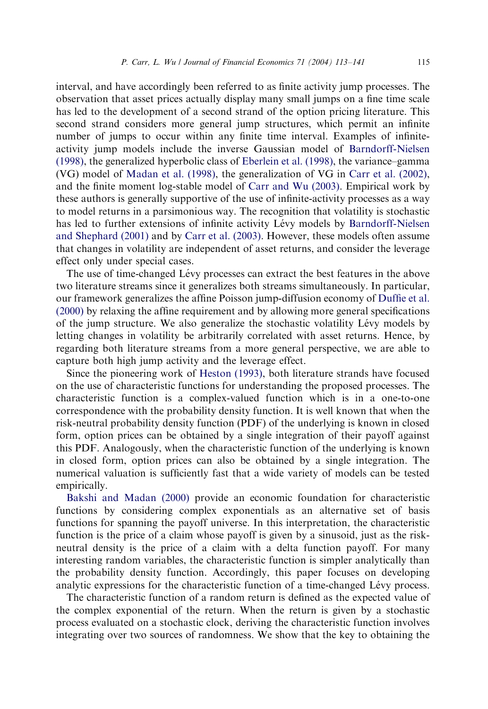interval, and have accordingly been referred to as finite activity jump processes. The observation that asset prices actuallydisplaymanysmall jumps on a fine time scale has led to the development of a second strand of the option pricing literature. This second strand considers more general jump structures, which permit an infinite number of jumps to occur within any finite time interval. Examples of infinite-activity jump models include the inverse Gaussian model of [Barndorff-Nielsen](#page-26-0) [\(1998\)](#page-26-0), the generalized hyperbolic class of [Eberlein et al. \(1998\),](#page-27-0) the variance–gamma (VG) model of [Madan et al. \(1998\),](#page-27-0) the generalization of VG in [Carr et al. \(2002\),](#page-27-0) and the finite moment log-stable model of [Carr and Wu \(2003\).](#page-26-0) Empirical work by these authors is generally supportive of the use of infinite-activity processes as a way to model returns in a parsimonious way. The recognition that volatility is stochastic has led to further extensions of infinite activity Lévy models by [Barndorff-Nielsen](#page-26-0) [and Shephard \(2001\)](#page-26-0) and by [Carr et al. \(2003\)](#page-26-0). However, these models often assume that changes in volatilityare independent of asset returns, and consider the leverage effect only under special cases.

The use of time-changed Lévy processes can extract the best features in the above two literature streams since it generalizes both streams simultaneously. In particular, our framework generalizes the affine Poisson jump-diffusion economyof [Duffie et al.](#page-27-0) [\(2000\)](#page-27-0) byrelaxing the affine requirement and byallowing more general specifications of the jump structure. We also generalize the stochastic volatilityLevymodels by ! letting changes in volatility be arbitrarily correlated with asset returns. Hence, by regarding both literature streams from a more general perspective, we are able to capture both high jump activityand the leverage effect.

Since the pioneering work of [Heston \(1993\),](#page-27-0) both literature strands have focused on the use of characteristic functions for understanding the proposed processes. The characteristic function is a complex-valued function which is in a one-to-one correspondence with the probability density function. It is well known that when the risk-neutral probability density function (PDF) of the underlying is known in closed form, option prices can be obtained bya single integration of their payoff against this PDF. Analogously, when the characteristic function of the underlying is known in closed form, option prices can also be obtained bya single integration. The numerical valuation is sufficiently fast that a wide variety of models can be tested empirically.

[Bakshi and Madan \(2000\)](#page-26-0) provide an economic foundation for characteristic functions by considering complex exponentials as an alternative set of basis functions for spanning the payoff universe. In this interpretation, the characteristic function is the price of a claim whose payoff is given by a sinusoid, just as the riskneutral density is the price of a claim with a delta function payoff. For many interesting random variables, the characteristic function is simpler analytically than the probability density function. Accordingly, this paper focuses on developing analytic expressions for the characteristic function of a time-changed Lévy process.

The characteristic function of a random return is defined as the expected value of the complex exponential of the return. When the return is given bya stochastic process evaluated on a stochastic clock, deriving the characteristic function involves integrating over two sources of randomness. We show that the keyto obtaining the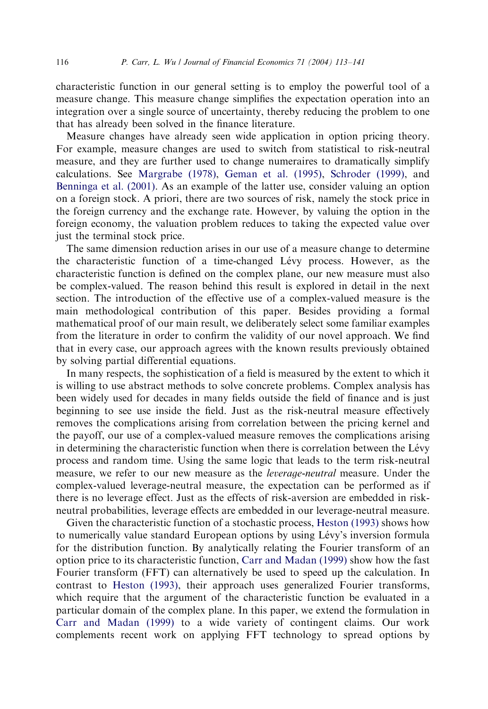characteristic function in our general setting is to employthe powerful tool of a measure change. This measure change simplifies the expectation operation into an integration over a single source of uncertainty, thereby reducing the problem to one that has already been solved in the finance literature.

Measure changes have already seen wide application in option pricing theory. For example, measure changes are used to switch from statistical to risk-neutral measure, and they are further used to change numeraires to dramatically simplify calculations. See [Margrabe \(1978\)](#page-28-0), [Geman et al. \(1995\),](#page-27-0) [Schroder \(1999\)](#page-28-0), and [Benninga et al. \(2001\).](#page-26-0) As an example of the latter use, consider valuing an option on a foreign stock. A priori, there are two sources of risk, namely the stock price in the foreign currencyand the exchange rate. However, byvaluing the option in the foreign economy, the valuation problem reduces to taking the expected value over just the terminal stock price.

The same dimension reduction arises in our use of a measure change to determine the characteristic function of a time-changed Lévy process. However, as the characteristic function is defined on the complex plane, our new measure must also be complex-valued. The reason behind this result is explored in detail in the next section. The introduction of the effective use of a complex-valued measure is the main methodological contribution of this paper. Besides providing a formal mathematical proof of our main result, we deliberatelyselect some familiar examples from the literature in order to confirm the validityof our novel approach. We find that in everycase, our approach agrees with the known results previouslyobtained bysolving partial differential equations.

In manyrespects, the sophistication of a field is measured bythe extent to which it is willing to use abstract methods to solve concrete problems. Complex analysis has been widely used for decades in many fields outside the field of finance and is just beginning to see use inside the field. Just as the risk-neutral measure effectively removes the complications arising from correlation between the pricing kernel and the payoff, our use of a complex-valued measure removes the complications arising in determining the characteristic function when there is correlation between the Lévy process and random time. Using the same logic that leads to the term risk-neutral measure, we refer to our new measure as the *leverage-neutral* measure. Under the complex-valued leverage-neutral measure, the expectation can be performed as if there is no leverage effect. Just as the effects of risk-aversion are embedded in riskneutral probabilities, leverage effects are embedded in our leverage-neutral measure.

Given the characteristic function of a stochastic process, [Heston \(1993\)](#page-27-0) shows how to numerically value standard European options by using Lévy's inversion formula for the distribution function. By analytically relating the Fourier transform of an option price to its characteristic function, [Carr and Madan \(1999\)](#page-26-0) show how the fast Fourier transform (FFT) can alternatively be used to speed up the calculation. In contrast to [Heston \(1993\),](#page-27-0) their approach uses generalized Fourier transforms, which require that the argument of the characteristic function be evaluated in a particular domain of the complex plane. In this paper, we extend the formulation in [Carr and Madan \(1999\)](#page-26-0) to a wide varietyof contingent claims. Our work complements recent work on applying FFT technology to spread options by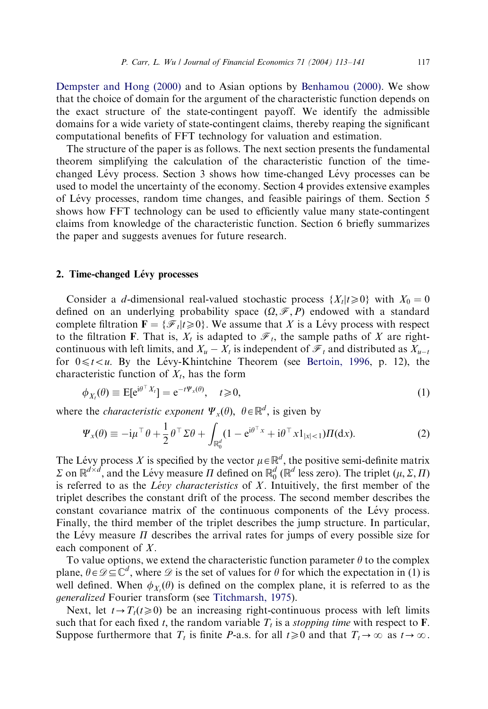[Dempster and Hong \(2000\)](#page-27-0) and to Asian options by [Benhamou \(2000\).](#page-26-0) We show that the choice of domain for the argument of the characteristic function depends on the exact structure of the state-contingent payoff. We identify the admissible domains for a wide variety of state-contingent claims, thereby reaping the significant computational benefits of FFT technologyfor valuation and estimation.

The structure of the paper is as follows. The next section presents the fundamental theorem simplifying the calculation of the characteristic function of the timechanged Lévy process. Section 3 shows how time-changed Lévy processes can be used to model the uncertaintyof the economy. Section 4 provides extensive examples of Lévy processes, random time changes, and feasible pairings of them. Section 5 shows how FFT technology can be used to efficiently value many state-contingent claims from knowledge of the characteristic function. Section 6 briefly summarizes the paper and suggests avenues for future research.

#### 2. Time-changed Lévy processes

Consider a d-dimensional real-valued stochastic process  $\{X_t | t \geq 0\}$  with  $X_0 = 0$ defined on an underlying probability space  $(\Omega, \mathcal{F}, P)$  endowed with a standard complete filtration  $\mathbf{F} = \{ \mathcal{F}_t | t \geq 0 \}$ . We assume that X is a Lévy process with respect to the filtration F. That is,  $X_t$  is adapted to  $\mathcal{F}_t$ , the sample paths of X are rightcontinuous with left limits, and  $X_u - X_t$  is independent of  $\mathcal{F}_t$  and distributed as  $X_{u-t}$ for  $0 \le t \le u$ . By the Lévy-Khintchine Theorem (see [Bertoin, 1996,](#page-26-0) p. 12), the characteristic function of  $X_t$ , has the form

$$
\phi_{X_t}(\theta) \equiv \mathbb{E}[e^{i\theta^{\top}X_t}] = e^{-t\Psi_x(\theta)}, \quad t \ge 0,
$$
\n(1)

where the *characteristic exponent*  $\Psi_x(\theta)$ ,  $\theta \in \mathbb{R}^d$ , is given by

$$
\Psi_x(\theta) \equiv -i\mu^\top \theta + \frac{1}{2} \theta^\top \Sigma \theta + \int_{\mathbb{R}_0^d} (1 - e^{i\theta^\top x} + i\theta^\top x \mathbf{1}_{|x| < 1}) \Pi(\mathrm{d}x). \tag{2}
$$

The Lévy process X is specified by the vector  $\mu \in \mathbb{R}^d$ , the positive semi-definite matrix  $\Sigma$  on  $\mathbb{R}^{d \times d}$ , and the Lévy measure  $\Pi$  defined on  $\mathbb{R}^d_0$  ( $\mathbb{R}^d$  less zero). The triplet  $(\mu, \Sigma, \Pi)$ is referred to as the Lévy characteristics of X. Intuitively, the first member of the triplet describes the constant drift of the process. The second member describes the constant covariance matrix of the continuous components of the Lévy process. Finally, the third member of the triplet describes the jump structure. In particular, the Lévy measure  $\Pi$  describes the arrival rates for jumps of every possible size for each component of  $X$ .

To value options, we extend the characteristic function parameter  $\theta$  to the complex plane,  $\theta \in \mathcal{D} \subseteq \mathbb{C}^d$ , where  $\mathcal D$  is the set of values for  $\theta$  for which the expectation in (1) is well defined. When  $\phi_{X_t}(\theta)$  is defined on the complex plane, it is referred to as the generalized Fourier transform (see [Titchmarsh, 1975](#page-28-0)).

Next, let  $t \to T_t(t \ge 0)$  be an increasing right-continuous process with left limits such that for each fixed t, the random variable  $T_t$  is a *stopping time* with respect to **F**. Suppose furthermore that  $T_t$  is finite P-a.s. for all  $t\geq 0$  and that  $T_t\to\infty$  as  $t\to\infty$ .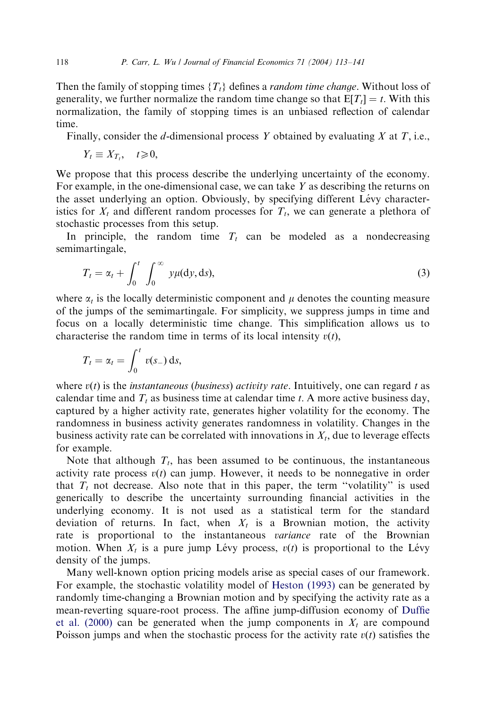Then the family of stopping times  $\{T_t\}$  defines a *random time change*. Without loss of generality, we further normalize the random time change so that  $E[T_t] = t$ . With this normalization, the family of stopping times is an unbiased reflection of calendar time.

Finally, consider the d-dimensional process Y obtained by evaluating X at T, i.e.,

 $Y_t \equiv X_T$ ,  $t \ge 0$ ,

We propose that this process describe the underlying uncertainty of the economy. For example, in the one-dimensional case, we can take Y as describing the returns on the asset underlying an option. Obviously, by specifying different Lévy characteristics for  $X_t$  and different random processes for  $T_t$ , we can generate a plethora of stochastic processes from this setup.

In principle, the random time  $T_t$  can be modeled as a nondecreasing semimartingale,

$$
T_t = \alpha_t + \int_0^t \int_0^\infty y \mu(dy, ds), \tag{3}
$$

where  $\alpha_t$  is the locally deterministic component and  $\mu$  denotes the counting measure of the jumps of the semimartingale. For simplicity, we suppress jumps in time and focus on a locally deterministic time change. This simplification allows us to characterise the random time in terms of its local intensity  $v(t)$ ,

$$
T_t = \alpha_t = \int_0^t v(s_-) \, \mathrm{d} s,
$$

where  $v(t)$  is the *instantaneous (business) activity rate*. Intuitively, one can regard t as calendar time and  $T_t$  as business time at calendar time t. A more active business day, captured by a higher activity rate, generates higher volatility for the economy. The randomness in business activity generates randomness in volatility. Changes in the business activity rate can be correlated with innovations in  $X_t$ , due to leverage effects for example.

Note that although  $T_t$ , has been assumed to be continuous, the instantaneous activity rate process  $v(t)$  can jump. However, it needs to be nonnegative in order that  $T_t$  not decrease. Also note that in this paper, the term "volatility" is used generically to describe the uncertainty surrounding financial activities in the underlying economy. It is not used as a statistical term for the standard deviation of returns. In fact, when  $X_t$  is a Brownian motion, the activity rate is proportional to the instantaneous variance rate of the Brownian motion. When  $X_t$  is a pure jump Lévy process,  $v(t)$  is proportional to the Lévy density of the jumps.

Manywell-known option pricing models arise as special cases of our framework. For example, the stochastic volatility model of [Heston \(1993\)](#page-27-0) can be generated by randomly time-changing a Brownian motion and by specifying the activity rate as a mean-reverting square-root process. The affine jump-diffusion economyof [Duffie](#page-27-0) [et al. \(2000\)](#page-27-0) can be generated when the jump components in  $X_t$  are compound Poisson jumps and when the stochastic process for the activity rate  $v(t)$  satisfies the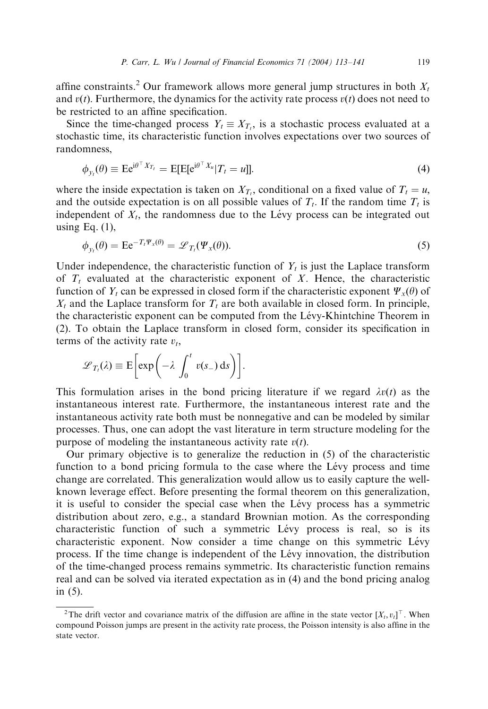affine constraints.<sup>2</sup> Our framework allows more general jump structures in both  $X_t$ and  $v(t)$ . Furthermore, the dynamics for the activity rate process  $v(t)$  does not need to be restricted to an affine specification.

Since the time-changed process  $Y_t \equiv X_{T_t}$ , is a stochastic process evaluated at a stochastic time, its characteristic function involves expectations over two sources of randomness,

$$
\phi_{y_t}(\theta) \equiv \mathrm{E} e^{i\theta^\top X_{T_t}} = \mathrm{E}[\mathrm{E}[e^{i\theta^\top X_u} | T_t = u]]. \tag{4}
$$

where the inside expectation is taken on  $X_T$ , conditional on a fixed value of  $T_t = u$ , and the outside expectation is on all possible values of  $T_t$ . If the random time  $T_t$  is independent of  $X_t$ , the randomness due to the Lévy process can be integrated out using Eq.  $(1)$ ,

$$
\phi_{y_t}(\theta) = \mathbf{E} e^{-T_t \Psi_x(\theta)} = \mathcal{L}_{T_t}(\Psi_x(\theta)).
$$
\n(5)

Under independence, the characteristic function of  $Y_t$  is just the Laplace transform of  $T_t$  evaluated at the characteristic exponent of X. Hence, the characteristic function of  $Y_t$  can be expressed in closed form if the characteristic exponent  $\Psi_x(\theta)$  of  $X_t$  and the Laplace transform for  $T_t$  are both available in closed form. In principle, the characteristic exponent can be computed from the Lévy-Khintchine Theorem in (2). To obtain the Laplace transform in closed form, consider its specification in terms of the activity rate  $v_t$ ,

$$
\mathscr{L}_{T_t}(\lambda) \equiv \mathrm{E}\bigg[\exp\bigg(-\lambda \int_0^t v(s_-) \,\mathrm{d} s\bigg)\bigg].
$$

This formulation arises in the bond pricing literature if we regard  $\lambda v(t)$  as the instantaneous interest rate. Furthermore, the instantaneous interest rate and the instantaneous activity rate both must be nonnegative and can be modeled by similar processes. Thus, one can adopt the vast literature in term structure modeling for the purpose of modeling the instantaneous activity rate  $v(t)$ .

Our primary objective is to generalize the reduction in  $(5)$  of the characteristic function to a bond pricing formula to the case where the Lévy process and time change are correlated. This generalization would allow us to easilycapture the wellknown leverage effect. Before presenting the formal theorem on this generalization, it is useful to consider the special case when the Lévy process has a symmetric distribution about zero, e.g., a standard Brownian motion. As the corresponding characteristic function of such a symmetric Lévy process is real, so is its characteristic exponent. Now consider a time change on this symmetric Levy ! process. If the time change is independent of the Lévy innovation, the distribution of the time-changed process remains symmetric. Its characteristic function remains real and can be solved via iterated expectation as in (4) and the bond pricing analog in (5).

<sup>&</sup>lt;sup>2</sup>The drift vector and covariance matrix of the diffusion are affine in the state vector  $[X_t, v_t]^\top$ . When compound Poisson jumps are present in the activity rate process, the Poisson intensity is also affine in the state vector.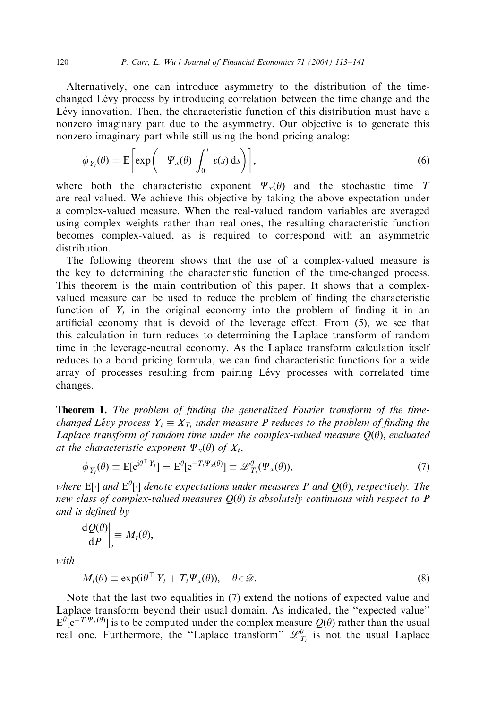Alternatively, one can introduce asymmetry to the distribution of the timechanged Lévy process by introducing correlation between the time change and the Lévy innovation. Then, the characteristic function of this distribution must have a nonzero imaginary part due to the asymmetry. Our objective is to generate this nonzero imaginary part while still using the bond pricing analog:

$$
\phi_{Y_t}(\theta) = \mathbb{E}\bigg[\exp\bigg(-\Psi_x(\theta)\int_0^t v(s) \,ds\bigg)\bigg],\tag{6}
$$

where both the characteristic exponent  $\Psi_x(\theta)$  and the stochastic time T are real-valued. We achieve this objective by taking the above expectation under a complex-valued measure. When the real-valued random variables are averaged using complex weights rather than real ones, the resulting characteristic function becomes complex-valued, as is required to correspond with an asymmetric distribution.

The following theorem shows that the use of a complex-valued measure is the keyto determining the characteristic function of the time-changed process. This theorem is the main contribution of this paper. It shows that a complexvalued measure can be used to reduce the problem of finding the characteristic function of  $Y_t$  in the original economy into the problem of finding it in an artificial economythat is devoid of the leverage effect. From (5), we see that this calculation in turn reduces to determining the Laplace transform of random time in the leverage-neutral economy. As the Laplace transform calculation itself reduces to a bond pricing formula, we can find characteristic functions for a wide array of processes resulting from pairing Lévy processes with correlated time changes.

Theorem 1. The problem of finding the generalized Fourier transform of the timechanged Lévy process  $Y_t \equiv X_T$ , under measure P reduces to the problem of finding the Laplace transform of random time under the complex-valued measure  $Q(\theta)$ , evaluated at the characteristic exponent  $\Psi_{x}(\theta)$  of  $X_{t}$ ,

$$
\phi_{Y_t}(\theta) \equiv \mathrm{E}[e^{i\theta^{\top}Y_t}] = \mathrm{E}^{\theta}[e^{-T_t\Psi_x(\theta)}] \equiv \mathscr{L}^{\theta}_{T_t}(\Psi_x(\theta)),\tag{7}
$$

where  $E[\cdot]$  and  $E^{\theta}[\cdot]$  denote expectations under measures P and  $Q(\theta)$ , respectively. The new class of complex-valued measures  $O(\theta)$  is absolutely continuous with respect to P and is defined by

$$
\left.\frac{\mathrm{d}Q(\theta)}{\mathrm{d}P}\right|_t\equiv M_t(\theta),
$$

with

$$
M_t(\theta) \equiv \exp(i\theta^\top Y_t + T_t \Psi_x(\theta)), \quad \theta \in \mathcal{D}.
$$
 (8)

Note that the last two equalities in (7) extend the notions of expected value and Laplace transform beyond their usual domain. As indicated, the ''expected value''  $E^{\theta}[e^{-T_t\Psi_x(\theta)}]$  is to be computed under the complex measure  $Q(\theta)$  rather than the usual real one. Furthermore, the "Laplace transform"  $\mathscr{L}^{\theta}_{T_t}$  is not the usual Laplace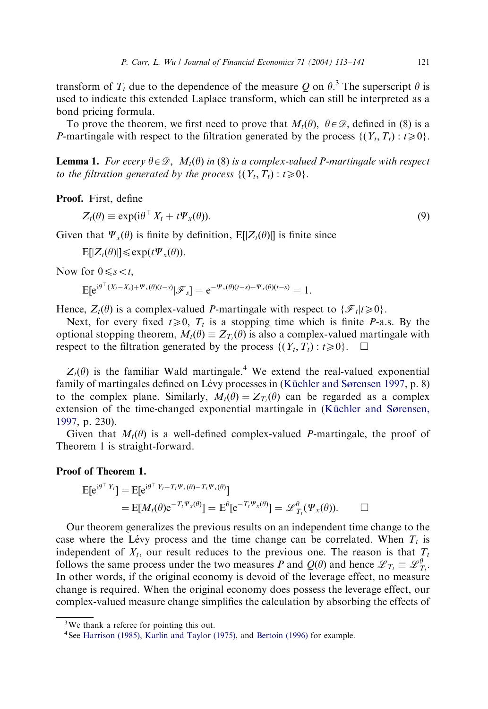transform of  $T_t$  due to the dependence of the measure Q on  $\theta$ .<sup>3</sup> The superscript  $\theta$  is used to indicate this extended Laplace transform, which can still be interpreted as a bond pricing formula.

To prove the theorem, we first need to prove that  $M_t(\theta)$ ,  $\theta \in \mathcal{D}$ , defined in (8) is a *P*-martingale with respect to the filtration generated by the process  $\{(Y_t, T_t) : t \ge 0\}.$ 

**Lemma 1.** For every  $\theta \in \mathcal{D}$ ,  $M_t(\theta)$  in (8) is a complex-valued P-martingale with respect to the filtration generated by the process  $\{(Y_t, T_t) : t \geq 0\}.$ 

Proof. First, define

$$
Z_t(\theta) \equiv \exp(i\theta^\top X_t + t\Psi_x(\theta)).\tag{9}
$$

Given that  $\Psi_x(\theta)$  is finite by definition,  $E[|Z_t(\theta)|]$  is finite since

 $E[|Z_t(\theta)|] \leq \exp(t \Psi_x(\theta)).$ 

Now for  $0 \leq s \leq t$ ,

$$
\mathbb{E}[e^{i\theta^{\top}(X_t-X_s)+\Psi_x(\theta)(t-s)}|\mathscr{F}_s]=e^{-\Psi_x(\theta)(t-s)+\Psi_x(\theta)(t-s)}=1.
$$

Hence,  $Z_t(\theta)$  is a complex-valued *P*-martingale with respect to  $\{\mathcal{F}_t | t \geq 0\}$ .

Next, for every fixed  $t\geq0$ ,  $T<sub>t</sub>$  is a stopping time which is finite P-a.s. By the optional stopping theorem,  $M_t(\theta) \equiv Z_T(\theta)$  is also a complex-valued martingale with respect to the filtration generated by the process  $\{(Y_t, T_t) : t \geq 0\}$ .  $\Box$ 

 $Z_t(\theta)$  is the familiar Wald martingale.<sup>4</sup> We extend the real-valued exponential family of martingales defined on Lévy processes in ([K](#page-27-0)ü[chler and S](#page-27-0)ø[rensen 1997](#page-27-0), p. 8) to the complex plane. Similarly,  $M_t(\theta) = Z_{T_t}(\theta)$  can be regarded as a complex extension of the time-changed exponential martingale in (Küchler and Sø[rensen,](#page-27-0) [1997,](#page-27-0) p. 230).

Given that  $M_t(\theta)$  is a well-defined complex-valued P-martingale, the proof of Theorem 1 is straight-forward.

# Proof of Theorem 1.

$$
E[e^{i\theta^{\top} Y_t}] = E[e^{i\theta^{\top} Y_t + T_t \Psi_x(\theta) - T_t \Psi_x(\theta)}]
$$
  
= 
$$
E[M_t(\theta)e^{-T_t \Psi_x(\theta)}] = E^{\theta}[e^{-T_t \Psi_x(\theta)}] = \mathcal{L}_{T_t}^{\theta}(\Psi_x(\theta)).
$$

Our theorem generalizes the previous results on an independent time change to the case where the Lévy process and the time change can be correlated. When  $T_t$  is independent of  $X_t$ , our result reduces to the previous one. The reason is that  $T_t$ follows the same process under the two measures P and  $Q(\theta)$  and hence  $\mathscr{L}_{T_t} \equiv \mathscr{L}_{T_t}^{\theta}$ . In other words, if the original economy is devoid of the leverage effect, no measure change is required. When the original economydoes possess the leverage effect, our complex-valued measure change simplifies the calculation byabsorbing the effects of

<sup>&</sup>lt;sup>3</sup>We thank a referee for pointing this out.

<sup>&</sup>lt;sup>4</sup>See [Harrison \(1985\)](#page-27-0), [Karlin and Taylor \(1975\)](#page-27-0), and [Bertoin \(1996\)](#page-26-0) for example.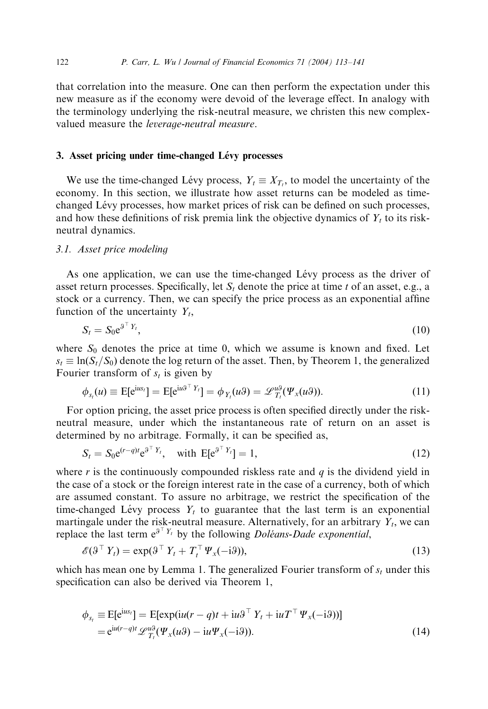that correlation into the measure. One can then perform the expectation under this new measure as if the economy were devoid of the leverage effect. In analogy with the terminologyunderlying the risk-neutral measure, we christen this new complexvalued measure the leverage-neutral measure.

## 3. Asset pricing under time-changed Lévy processes

We use the time-changed Lévy process,  $Y_t \equiv X_T$ , to model the uncertainty of the economy. In this section, we illustrate how asset returns can be modeled as timechanged Lévy processes, how market prices of risk can be defined on such processes, and how these definitions of risk premia link the objective dynamics of  $Y_t$  to its riskneutral dynamics.

## 3.1. Asset price modeling

As one application, we can use the time-changed Lévy process as the driver of asset return processes. Specifically, let  $S_t$  denote the price at time t of an asset, e.g., a stock or a currency. Then, we can specify the price process as an exponential affine function of the uncertainty  $Y_t$ ,

$$
S_t = S_0 e^{9^\top Y_t},\tag{10}
$$

where  $S_0$  denotes the price at time 0, which we assume is known and fixed. Let  $s_t \equiv \ln(S_t/S_0)$  denote the log return of the asset. Then, by Theorem 1, the generalized Fourier transform of  $s_t$  is given by

$$
\phi_{s_t}(u) \equiv \mathrm{E}[e^{\mathrm{i}us_t}] = \mathrm{E}[e^{\mathrm{i}u\theta^\top Y_t}] = \phi_{Y_t}(u\theta) = \mathscr{L}^{u\theta}_{T_t}(\Psi_x(u\theta)).\tag{11}
$$

For option pricing, the asset price process is often specified directlyunder the riskneutral measure, under which the instantaneous rate of return on an asset is determined by no arbitrage. Formally, it can be specified as,

$$
S_t = S_0 e^{(r-q)t} e^{3^T Y_t}, \text{ with } E[e^{3^T Y_t}] = 1,
$$
\n(12)

where r is the continuously compounded riskless rate and  $q$  is the dividend yield in the case of a stock or the foreign interest rate in the case of a currency, both of which are assumed constant. To assure no arbitrage, we restrict the specification of the time-changed Lévy process  $Y_t$  to guarantee that the last term is an exponential martingale under the risk-neutral measure. Alternatively, for an arbitrary  $Y_t$ , we can replace the last term  $e^{\theta^T Y_t}$  by the following *Doléans-Dade exponential*,

$$
\mathscr{E}(\vartheta^{\top} Y_t) = \exp(\vartheta^{\top} Y_t + T_t^{\top} \varPsi_x(-i\vartheta)),\tag{13}
$$

which has mean one by Lemma 1. The generalized Fourier transform of  $s_t$  under this specification can also be derived via Theorem 1,

$$
\phi_{s_t} \equiv \mathbb{E}[\mathbf{e}^{\mathbf{i} u s_t}] = \mathbb{E}[\exp(iu(r - q)t + iu\vartheta^\top Y_t + iuT^\top \Psi_x(-i\vartheta))]
$$
  
= 
$$
\mathbf{e}^{\mathbf{i} u(r - q)t} \mathcal{L}_{T_t}^{u\vartheta}(\Psi_x(u\vartheta) - iu\Psi_x(-i\vartheta)).
$$
 (14)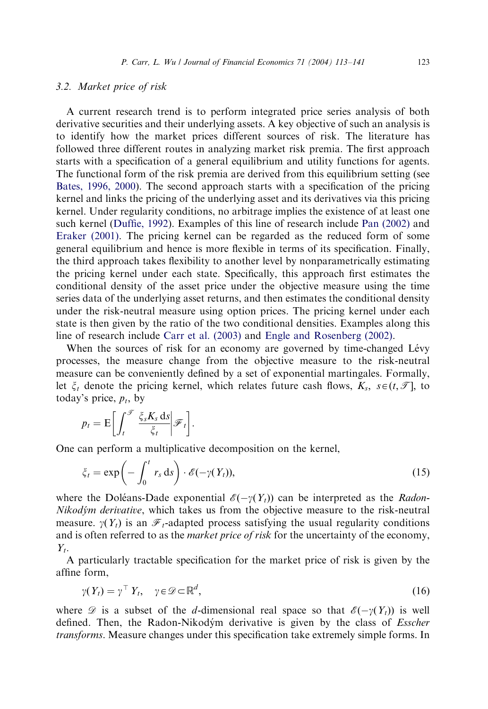# 3.2. Market price of risk

A current research trend is to perform integrated price series analysis of both derivative securities and their underlying assets. A key objective of such an analysis is to identifyhow the market prices different sources of risk. The literature has followed three different routes in analyzing market risk premia. The first approach starts with a specification of a general equilibrium and utility functions for agents. The functional form of the risk premia are derived from this equilibrium setting (see [Bates, 1996, 2000](#page-26-0)). The second approach starts with a specification of the pricing kernel and links the pricing of the underlying asset and its derivatives via this pricing kernel. Under regularity conditions, no arbitrage implies the existence of at least one such kernel ([Duffie, 1992](#page-27-0)). Examples of this line of research include [Pan \(2002\)](#page-28-0) and [Eraker \(2001\)](#page-27-0). The pricing kernel can be regarded as the reduced form of some general equilibrium and hence is more flexible in terms of its specification. Finally, the third approach takes flexibility to another level by nonparametrically estimating the pricing kernel under each state. Specifically, this approach first estimates the conditional densityof the asset price under the objective measure using the time series data of the underlying asset returns, and then estimates the conditional density under the risk-neutral measure using option prices. The pricing kernel under each state is then given by the ratio of the two conditional densities. Examples along this line of research include [Carr et al. \(2003\)](#page-26-0) and [Engle and Rosenberg \(2002\).](#page-27-0)

When the sources of risk for an economy are governed by time-changed Lévy processes, the measure change from the objective measure to the risk-neutral measure can be conveniently defined by a set of exponential martingales. Formally, let  $\xi_t$  denote the pricing kernel, which relates future cash flows,  $K_s$ ,  $s \in (t, \mathcal{T}]$ , to today's price,  $p_t$ , by

$$
p_t = \mathbf{E}\bigg[\int_t^{\mathcal{F}} \frac{\xi_s K_s \, \mathrm{d}s}{\xi_t} \bigg| \mathcal{F}_t\bigg].
$$

One can perform a multiplicative decomposition on the kernel,

$$
\xi_t = \exp\left(-\int_0^t r_s \, ds\right) \cdot \mathscr{E}(-\gamma(Y_t)),\tag{15}
$$

where the Doléans-Dade exponential  $\mathscr{E}(-\gamma(Y_t))$  can be interpreted as the Radon-Nikodým derivative, which takes us from the objective measure to the risk-neutral measure.  $\gamma(Y_t)$  is an  $\mathcal{F}_t$ -adapted process satisfying the usual regularity conditions and is often referred to as the *market price of risk* for the uncertainty of the economy,  $Y_{t}$ .

A particularly tractable specification for the market price of risk is given by the affine form,

$$
\gamma(Y_t) = \gamma^\top Y_t, \quad \gamma \in \mathcal{D} \subset \mathbb{R}^d,
$$
\n(16)

where  $\mathscr D$  is a subset of the d-dimensional real space so that  $\mathscr E(-\gamma(Y_t))$  is well defined. Then, the Radon-Nikodým derivative is given by the class of *Esscher* transforms. Measure changes under this specification take extremelysimple forms. In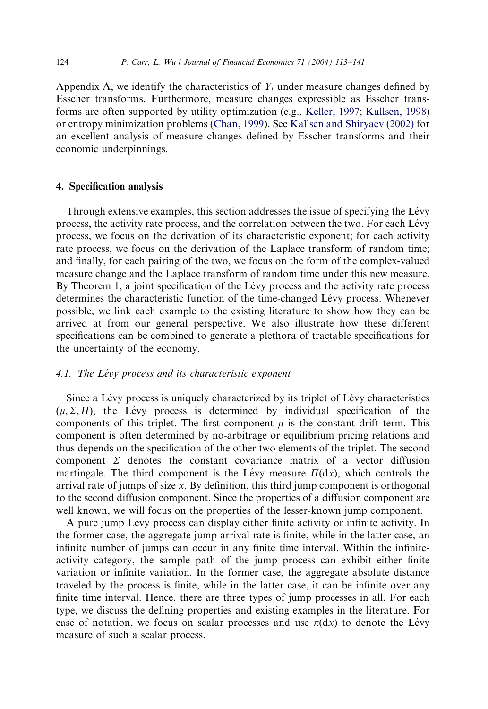Appendix A, we identify the characteristics of  $Y_t$  under measure changes defined by Esscher transforms. Furthermore, measure changes expressible as Esscher transforms are often supported byutilityoptimization (e.g., [Keller, 1997](#page-27-0); [Kallsen, 1998](#page-27-0)) or entropyminimization problems [\(Chan, 1999](#page-27-0)). See [Kallsen and Shiryaev \(2002\)](#page-27-0) for an excellent analysis of measure changes defined by Esscher transforms and their economic underpinnings.

#### 4. Specification analysis

Through extensive examples, this section addresses the issue of specifying the Lévy process, the activity rate process, and the correlation between the two. For each Lévy process, we focus on the derivation of its characteristic exponent; for each activity rate process, we focus on the derivation of the Laplace transform of random time; and finally, for each pairing of the two, we focus on the form of the complex-valued measure change and the Laplace transform of random time under this new measure. By Theorem 1, a joint specification of the Lévy process and the activity rate process determines the characteristic function of the time-changed Lévy process. Whenever possible, we link each example to the existing literature to show how theycan be arrived at from our general perspective. We also illustrate how these different specifications can be combined to generate a plethora of tractable specifications for the uncertainty of the economy.

#### 4.1. The Lévy process and its characteristic exponent

Since a Lévy process is uniquely characterized by its triplet of Lévy characteristics  $(\mu, \Sigma, \Pi)$ , the Lévy process is determined by individual specification of the components of this triplet. The first component  $\mu$  is the constant drift term. This component is often determined by no-arbitrage or equilibrium pricing relations and thus depends on the specification of the other two elements of the triplet. The second component  $\Sigma$  denotes the constant covariance matrix of a vector diffusion martingale. The third component is the Lévy measure  $\Pi(dx)$ , which controls the arrival rate of jumps of size  $x$ . By definition, this third jump component is orthogonal to the second diffusion component. Since the properties of a diffusion component are well known, we will focus on the properties of the lesser-known jump component.

A pure jump Lévy process can display either finite activity or infinite activity. In the former case, the aggregate jump arrival rate is finite, while in the latter case, an infinite number of jumps can occur in anyfinite time interval. Within the infiniteactivity category, the sample path of the jump process can exhibit either finite variation or infinite variation. In the former case, the aggregate absolute distance traveled by the process is finite, while in the latter case, it can be infinite over any finite time interval. Hence, there are three types of jump processes in all. For each type, we discuss the defining properties and existing examples in the literature. For ease of notation, we focus on scalar processes and use  $\pi(dx)$  to denote the Lévy measure of such a scalar process.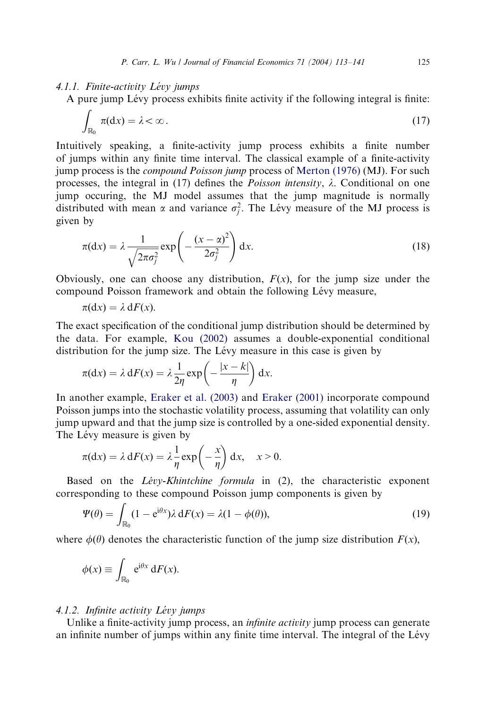## 4.1.1. Finite-activity Lévy jumps

A pure jump Lévy process exhibits finite activity if the following integral is finite:

$$
\int_{\mathbb{R}_0} \pi(\mathrm{d}x) = \lambda < \infty. \tag{17}
$$

Intuitively speaking, a finite-activity jump process exhibits a finite number of jumps within anyfinite time interval. The classical example of a finite-activity jump process is the compound Poisson jump process of [Merton \(1976\)](#page-28-0) (MJ). For such processes, the integral in (17) defines the *Poisson intensity*,  $\lambda$ . Conditional on one jump occuring, the MJ model assumes that the jump magnitude is normally distributed with mean  $\alpha$  and variance  $\sigma_j^2$ . The Lévy measure of the MJ process is given by

$$
\pi(\mathrm{d}x) = \lambda \frac{1}{\sqrt{2\pi\sigma_j^2}} \exp\left(-\frac{(x-\alpha)^2}{2\sigma_j^2}\right) \mathrm{d}x. \tag{18}
$$

Obviously, one can choose any distribution,  $F(x)$ , for the jump size under the compound Poisson framework and obtain the following Lévy measure,

$$
\pi(\mathrm{d}x)=\lambda\,\mathrm{d}F(x).
$$

The exact specification of the conditional jump distribution should be determined by the data. For example, [Kou \(2002\)](#page-27-0) assumes a double-exponential conditional distribution for the jump size. The Lévy measure in this case is given by

$$
\pi(\mathrm{d}x) = \lambda \, \mathrm{d}F(x) = \lambda \frac{1}{2\eta} \exp\left(-\frac{|x-k|}{\eta}\right) \mathrm{d}x.
$$

In another example, [Eraker et al. \(2003\)](#page-27-0) and [Eraker \(2001\)](#page-27-0) incorporate compound Poisson jumps into the stochastic volatility process, assuming that volatility can only jump upward and that the jump size is controlled bya one-sided exponential density. The Lévy measure is given by

$$
\pi(\mathrm{d}x) = \lambda \, \mathrm{d}F(x) = \lambda \frac{1}{\eta} \exp\left(-\frac{x}{\eta}\right) \mathrm{d}x, \quad x > 0.
$$

Based on the Lévy-Khintchine formula in (2), the characteristic exponent corresponding to these compound Poisson jump components is given by

$$
\Psi(\theta) = \int_{\mathbb{R}_0} (1 - e^{i\theta x}) \lambda \, dF(x) = \lambda (1 - \phi(\theta)),
$$
\n(19)

where  $\phi(\theta)$  denotes the characteristic function of the jump size distribution  $F(x)$ ,

$$
\phi(x) \equiv \int_{\mathbb{R}_0} e^{i\theta x} dF(x).
$$

## 4.1.2. Infinite activity Lévy jumps

Unlike a finite-activity jump process, an *infinite activity* jump process can generate an infinite number of jumps within any finite time interval. The integral of the Lévy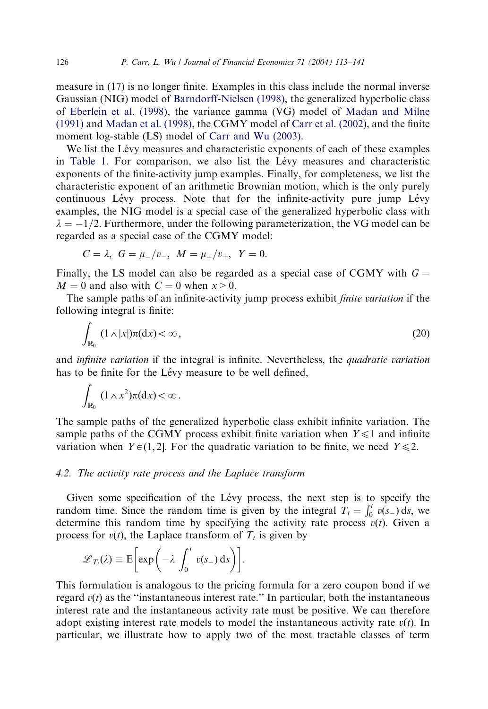measure in (17) is no longer finite. Examples in this class include the normal inverse Gaussian (NIG) model of [Barndorff-Nielsen \(1998\)](#page-26-0), the generalized hyperbolic class of [Eberlein et al. \(1998\),](#page-27-0) the variance gamma (VG) model of [Madan and Milne](#page-27-0) [\(1991\)](#page-27-0) and [Madan et al. \(1998\)](#page-27-0), the CGMY model of [Carr et al. \(2002\),](#page-27-0) and the finite moment log-stable (LS) model of [Carr and Wu \(2003\).](#page-26-0)

We list the Lévy measures and characteristic exponents of each of these examples in Table 1. For comparison, we also list the Lévy measures and characteristic exponents of the finite-activity jump examples. Finally, for completeness, we list the characteristic exponent of an arithmetic Brownian motion, which is the onlypurely continuous Lévy process. Note that for the infinite-activity pure jump Lévy examples, the NIG model is a special case of the generalized hyperbolic class with  $\lambda = -1/2$ . Furthermore, under the following parameterization, the VG model can be regarded as a special case of the CGMY model:

$$
C=\lambda, G=\mu_-/v_-, M=\mu_+/v_+, Y=0.
$$

Finally, the LS model can also be regarded as a special case of CGMY with  $G =$  $M = 0$  and also with  $C = 0$  when  $x > 0$ .

The sample paths of an infinite-activity jump process exhibit *finite variation* if the following integral is finite:

$$
\int_{\mathbb{R}_0} (1 \wedge |x|) \pi(\mathrm{d}x) < \infty,\tag{20}
$$

and *infinite variation* if the integral is infinite. Nevertheless, the *quadratic variation* has to be finite for the Lévy measure to be well defined,

$$
\int_{\mathbb{R}_0} (1 \wedge x^2) \pi(\mathrm{d} x) < \infty.
$$

The sample paths of the generalized hyperbolic class exhibit infinite variation. The sample paths of the CGMY process exhibit finite variation when  $Y \leq 1$  and infinite variation when  $Y \in (1, 2]$ . For the quadratic variation to be finite, we need  $Y \le 2$ .

## 4.2. The activity rate process and the Laplace transform

Given some specification of the Lévy process, the next step is to specify the random time. Since the random time is given by the integral  $T_t = \int_0^t v(s_-) ds$ , we determine this random time by specifying the activity rate process  $v(t)$ . Given a process for  $v(t)$ , the Laplace transform of  $T<sub>t</sub>$  is given by

$$
\mathscr{L}_{T_t}(\lambda) \equiv \mathrm{E}\bigg[\exp\bigg(-\lambda \int_0^t v(s_-) \, \mathrm{d} s\bigg)\bigg].
$$

This formulation is analogous to the pricing formula for a zero coupon bond if we regard  $v(t)$  as the "instantaneous interest rate." In particular, both the instantaneous interest rate and the instantaneous activity rate must be positive. We can therefore adopt existing interest rate models to model the instantaneous activity rate  $v(t)$ . In particular, we illustrate how to apply two of the most tractable classes of term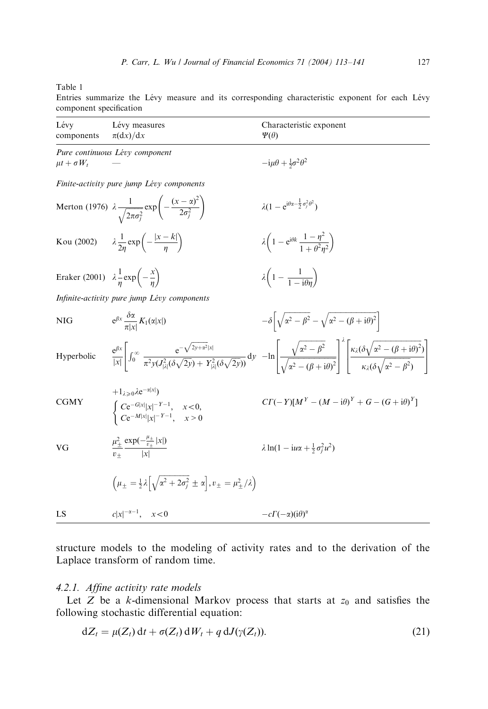Table 1

Entries summarize the Lévy measure and its corresponding characteristic exponent for each Lévy component specification

| Lévy                    | Lévy measures | Characteristic exponent |
|-------------------------|---------------|-------------------------|
| components $\pi(dx)/dx$ |               | $\Psi(\theta)$          |

 $-i\mu\theta + \frac{1}{2}\sigma^2\theta^2$ 

 $\lambda \left( 1 - \frac{1}{1 - i \theta \eta} \right)$ 

Pure continuous Lévy component  $\mu t + \sigma W_t$ 

Finite-activity pure jump Lévy components

Merton (1976) 
$$
\lambda \frac{1}{\sqrt{2\pi\sigma_j^2}} \exp\left(-\frac{(x-\alpha)^2}{2\sigma_j^2}\right)
$$
  $\lambda (1 - e^{i\theta \alpha - \frac{1}{2}\sigma_j^2 \theta^2})$   
Kou (2002)  $\lambda \frac{1}{2\eta} \exp\left(-\frac{|x-k|}{\eta}\right)$   $\lambda \left(1 - e^{i\theta k} \frac{1 - \eta^2}{1 + \theta^2 \eta^2}\right)$ 

Eraker (2001)  $\lambda \frac{1}{\eta} \exp \left(-\frac{x}{\eta}\right)$  $\left( -\frac{1}{2} \right)$ 

Infinite-activity pure jump Lévy components

$$
\begin{aligned}\n\text{NIG} \qquad & \mathbf{e}^{\beta x} \frac{\delta \alpha}{\pi |x|} K_1(\alpha |x|) \\
& \mathbf{H} \text{yperbolic} \qquad \frac{\mathbf{e}^{\beta x} \left[ \int_0^\infty \frac{\mathbf{e}^{-\sqrt{2y+x^2}|x|}}{\pi^2 y (J_{|\lambda|}^2 (\delta \sqrt{2y}) + Y_{|\lambda|}^2 (\delta \sqrt{2y}))} \, \mathrm{d}y \right. \\
&\quad - \delta \left[ \sqrt{\alpha^2 - \beta^2} - \sqrt{\alpha^2 - (\beta + i\theta)^2} \right] \\
\text{Hyperbolic} \qquad & \frac{\mathbf{e}^{\beta x}}{|x|} \left[ \int_0^\infty \frac{\mathbf{e}^{-\sqrt{2y+x^2}|x|}}{\pi^2 y (J_{|\lambda|}^2 (\delta \sqrt{2y}) + Y_{|\lambda|}^2 (\delta \sqrt{2y}))} \, \mathrm{d}y \right. \\
&\quad - \ln \left[ \frac{\sqrt{\alpha^2 - \beta^2}}{\sqrt{\alpha^2 - (\beta + i\theta)^2}} \right] \left( \frac{\kappa_\lambda (\delta \sqrt{\alpha^2 - (\beta + i\theta)^2})}{\kappa_\lambda (\delta \sqrt{\alpha^2 - \beta^2})} \right] \\
& \quad + \mathbf{1}_{\lambda \ge 0} \lambda \mathbf{e}^{-\alpha |x|} \text{,} \\
& \quad \int C \mathbf{e}^{-G|x|} |x|^{-Y-1}, \quad x < 0, \\
& \qquad \qquad C\Gamma(-Y)[M^Y - (M - i\theta)^Y + G - (G + i\theta)^Y]\n\end{aligned}
$$

 $\overline{V}$ G

$$
\frac{\mu_{\pm}^2}{v_{\pm}}\frac{\exp(-\frac{\mu_{\pm}}{v_{\pm}}|x|)}{|x|}
$$

 $\frac{v_{\pm}+v_{\pm}v_{\pm}}{|x|}$   $\lambda \ln(1-iu\alpha + \frac{1}{2}\sigma_j^2 u^2)$ 

$$
\left(\mu_{\pm}=\frac{1}{2}\lambda\Big[\sqrt{\alpha^2+2\sigma_j^2}\pm\alpha\Big],v_{\pm}=\mu_{\pm}^2/\lambda\right)
$$

 $Ce^{-M|x|}|x|^{-Y-1}, \quad x > 0$ 

LS 
$$
c|x|^{-\alpha-1}, \quad x<0
$$
  $-c\Gamma(-\alpha)(i\theta)^{\alpha}$ 

structure models to the modeling of activity rates and to the derivation of the Laplace transform of random time.

## 4.2.1. Affine activity rate models

Let  $Z$  be a k-dimensional Markov process that starts at  $z_0$  and satisfies the following stochastic differential equation:

$$
dZ_t = \mu(Z_t) dt + \sigma(Z_t) dW_t + q dJ(\gamma(Z_t)).
$$
\n(21)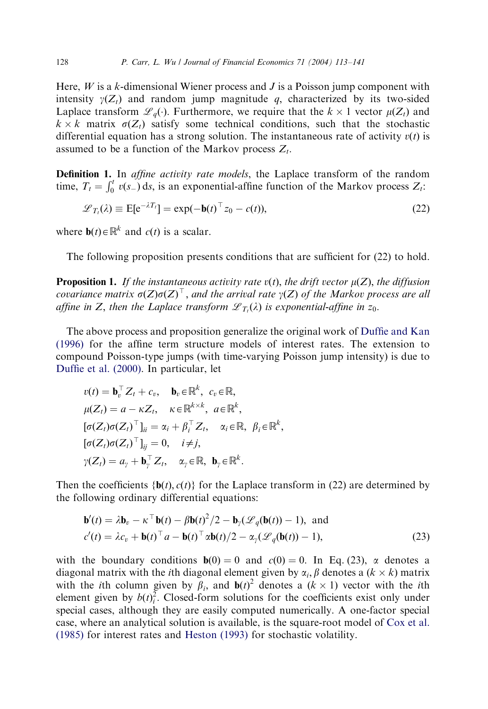Here,  $W$  is a k-dimensional Wiener process and  $J$  is a Poisson jump component with intensity  $\gamma(Z_t)$  and random jump magnitude q, characterized by its two-sided Laplace transform  $\mathscr{L}_{q}(\cdot)$ . Furthermore, we require that the  $k \times 1$  vector  $\mu(Z_t)$  and  $k \times k$  matrix  $\sigma(Z_t)$  satisfy some technical conditions, such that the stochastic differential equation has a strong solution. The instantaneous rate of activity  $v(t)$  is assumed to be a function of the Markov process  $Z_t$ .

Definition 1. In affine activity rate models, the Laplace transform of the random **EXEMPLE 1.** Explore the models, the Explore transform of the function time,  $T_t = \int_0^t v(s_-) ds$ , is an exponential-affine function of the Markov process  $Z_t$ :

$$
\mathcal{L}_{T_t}(\lambda) \equiv \mathrm{E}[e^{-\lambda T_t}] = \exp(-\mathbf{b}(t)^{\top} z_0 - c(t)),\tag{22}
$$

where  $\mathbf{b}(t) \in \mathbb{R}^k$  and  $c(t)$  is a scalar.

The following proposition presents conditions that are sufficient for (22) to hold.

**Proposition 1.** If the instantaneous activity rate  $v(t)$ , the drift vector  $\mu(Z)$ , the diffusion covariance matrix  $\sigma(Z) \sigma(Z)^\perp$  , and the arrival rate  $\gamma(Z)$  of the Markov process are all affine in Z, then the Laplace transform  $\mathscr{L}_{T_{t}}(\lambda)$  is exponential-affine in  $z_{0}$ .

The above process and proposition generalize the original work of [Duffie and Kan](#page-27-0) [\(1996\)](#page-27-0) for the affine term structure models of interest rates. The extension to compound Poisson-type jumps (with time-varying Poisson jump intensity) is due to [Duffie et al. \(2000\)](#page-27-0). In particular, let

$$
v(t) = \mathbf{b}_v^{\top} Z_t + c_v, \quad \mathbf{b}_v \in \mathbb{R}^k, \quad c_v \in \mathbb{R},
$$
  
\n
$$
\mu(Z_t) = a - \kappa Z_t, \quad \kappa \in \mathbb{R}^{k \times k}, \quad a \in \mathbb{R}^k,
$$
  
\n
$$
[\sigma(Z_t)\sigma(Z_t)^{\top}]_{ii} = \alpha_i + \beta_i^{\top} Z_t, \quad \alpha_i \in \mathbb{R}, \quad \beta_i \in \mathbb{R}^k,
$$
  
\n
$$
[\sigma(Z_t)\sigma(Z_t)^{\top}]_{ij} = 0, \quad i \neq j,
$$
  
\n
$$
\gamma(Z_t) = a_{\gamma} + \mathbf{b}_{\gamma}^{\top} Z_t, \quad \alpha_{\gamma} \in \mathbb{R}, \quad \mathbf{b}_{\gamma} \in \mathbb{R}^k.
$$

Then the coefficients  $\{b(t), c(t)\}\$  for the Laplace transform in (22) are determined by the following ordinary differential equations:

$$
\mathbf{b}'(t) = \lambda \mathbf{b}_v - \kappa^\top \mathbf{b}(t) - \beta \mathbf{b}(t)^2 / 2 - \mathbf{b}_\gamma (\mathcal{L}_q(\mathbf{b}(t)) - 1), \text{ and}
$$
  
\n
$$
c'(t) = \lambda c_v + \mathbf{b}(t)^\top a - \mathbf{b}(t)^\top \alpha \mathbf{b}(t) / 2 - \alpha_\gamma (\mathcal{L}_q(\mathbf{b}(t)) - 1),
$$
\n(23)

with the boundary conditions  $b(0) = 0$  and  $c(0) = 0$ . In Eq. (23),  $\alpha$  denotes a diagonal matrix with the *i*th diagonal element given by  $\alpha_i$ ,  $\beta$  denotes a ( $k \times k$ ) matrix with the *i*th column given by  $\beta_i$ , and  $\mathbf{b}(t)^2$  denotes a  $(k \times 1)$  vector with the *i*th element given by  $b(t)$ <sup>2</sup>. Closed-form solutions for the coefficients exist only under special cases, although they are easily computed numerically. A one-factor special case, where an analytical solution is available, is the square-root model of [Cox et al.](#page-27-0) [\(1985\)](#page-27-0) for interest rates and [Heston \(1993\)](#page-27-0) for stochastic volatility.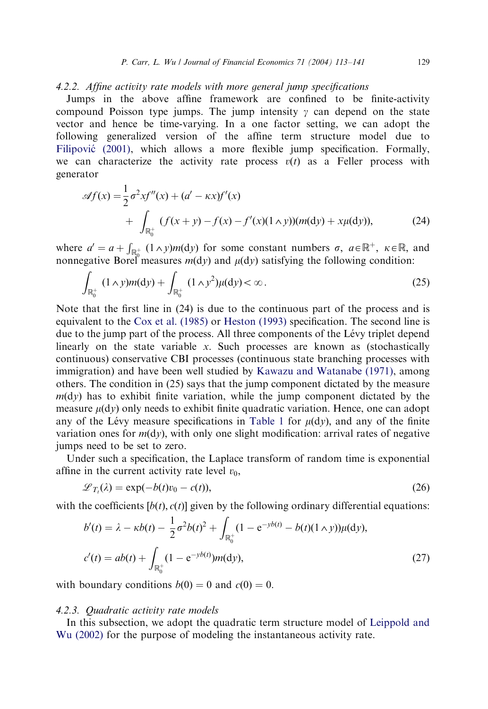## 4.2.2. Affine activity rate models with more general jump specifications

Jumps in the above affine framework are confined to be finite-activity compound Poisson type jumps. The jump intensity  $\gamma$  can depend on the state vector and hence be time-varying. In a one factor setting, we can adopt the following generalized version of the affine term structure model due to [Filipovi](#page-27-0)c [\(2001\)](#page-27-0), which allows a more flexible jump specification. Formally, we can characterize the activity rate process  $v(t)$  as a Feller process with generator

$$
\mathscr{A}f(x) = \frac{1}{2}\sigma^2 x f''(x) + (a' - \kappa x)f'(x) + \int_{\mathbb{R}_0^+} (f(x+y) - f(x) - f'(x)(1 \wedge y))(m(\mathrm{d}y) + x\mu(\mathrm{d}y)),
$$
 (24)

where  $a' = a + \int_{\mathbb{R}^+} (1 \wedge y)m(dy)$  for some constant numbers  $\sigma$ ,  $a \in \mathbb{R}^+$ ,  $\kappa \in \mathbb{R}$ , and nonnegative Borel measures  $m(dy)$  and  $\mu(dy)$  satisfying the following condition:

$$
\int_{\mathbb{R}_0^+} (1 \wedge y) m(dy) + \int_{\mathbb{R}_0^+} (1 \wedge y^2) \mu(dy) < \infty.
$$
 (25)

Note that the first line in (24) is due to the continuous part of the process and is equivalent to the [Cox et al. \(1985\)](#page-27-0) or [Heston \(1993\)](#page-27-0) specification. The second line is due to the jump part of the process. All three components of the Lévy triplet depend linearly on the state variable x. Such processes are known as (stochastically continuous) conservative CBI processes (continuous state branching processes with immigration) and have been well studied by [Kawazu and Watanabe \(1971\)](#page-27-0), among others. The condition in (25) says that the jump component dictated by the measure  $m(dy)$  has to exhibit finite variation, while the jump component dictated by the measure  $\mu(dy)$  only needs to exhibit finite quadratic variation. Hence, one can adopt any of the Lévy measure specifications in Table 1 for  $\mu(dy)$ , and any of the finite variation ones for  $m(\text{d}y)$ , with only one slight modification: arrival rates of negative jumps need to be set to zero.

Under such a specification, the Laplace transform of random time is exponential affine in the current activity rate level  $v_0$ ,

$$
\mathcal{L}_{T_t}(\lambda) = \exp(-b(t)v_0 - c(t)),\tag{26}
$$

with the coefficients  $[b(t), c(t)]$  given by the following ordinary differential equations:

$$
b'(t) = \lambda - \kappa b(t) - \frac{1}{2} \sigma^2 b(t)^2 + \int_{\mathbb{R}_0^+} (1 - e^{-y b(t)} - b(t)(1 \wedge y)) \mu(dy),
$$
  
\n
$$
c'(t) = ab(t) + \int_{\mathbb{R}_0^+} (1 - e^{-y b(t)}) m(dy),
$$
\n(27)

with boundary conditions  $b(0) = 0$  and  $c(0) = 0$ .

#### 4.2.3. Quadratic activity rate models

In this subsection, we adopt the quadratic term structure model of [Leippold and](#page-27-0) [Wu \(2002\)](#page-27-0) for the purpose of modeling the instantaneous activity rate.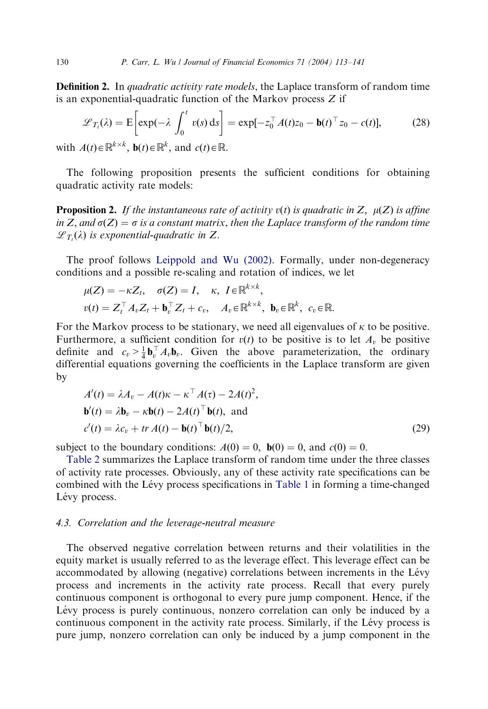**Definition 2.** In quadratic activity rate models, the Laplace transform of random time is an exponential-quadratic function of the Markov process Z if

$$
\mathscr{L}_{T_t}(\lambda) = \mathbf{E}\bigg[\exp(-\lambda \int_0^t v(s) \, ds\bigg] = \exp[-z_0^\top A(t)z_0 - \mathbf{b}(t)^\top z_0 - c(t)],\tag{28}
$$

with  $A(t) \in \mathbb{R}^{k \times k}$ ,  $\mathbf{b}(t) \in \mathbb{R}^{k}$ , and  $c(t) \in \mathbb{R}$ .

The following proposition presents the sufficient conditions for obtaining quadratic activity rate models:

**Proposition 2.** If the instantaneous rate of activity  $v(t)$  is quadratic in Z,  $\mu(Z)$  is affine in Z, and  $\sigma(Z) = \sigma$  is a constant matrix, then the Laplace transform of the random time  $\mathscr{L}_L(\lambda)$  is exponential-quadratic in Z.

The proof follows [Leippold and Wu \(2002\).](#page-27-0) Formally, under non-degeneracy conditions and a possible re-scaling and rotation of indices, we let

$$
\mu(Z) = -\kappa Z_t, \quad \sigma(Z) = I, \quad \kappa, \quad I \in \mathbb{R}^{k \times k},
$$
  

$$
v(t) = Z_t^\top A_v Z_t + \mathbf{b}_v^\top Z_t + c_v, \quad A_v \in \mathbb{R}^{k \times k}, \quad \mathbf{b}_v \in \mathbb{R}^k, \quad c_v \in \mathbb{R}.
$$

For the Markov process to be stationary, we need all eigenvalues of  $\kappa$  to be positive. Furthermore, a sufficient condition for  $v(t)$  to be positive is to let  $A_v$  be positive definite and  $c_v > \frac{1}{4} \mathbf{b}_v^{\top} A_v \mathbf{b}_v$ . Given the above parameterization, the ordinary differential equations governing the coefficients in the Laplace transform are given by

$$
A'(t) = \lambda A_v - A(t)\kappa - \kappa^{\top} A(\tau) - 2A(t)^2,
$$
  
\n
$$
\mathbf{b}'(t) = \lambda \mathbf{b}_v - \kappa \mathbf{b}(t) - 2A(t)^{\top} \mathbf{b}(t), \text{ and}
$$
  
\n
$$
c'(t) = \lambda c_v + tr A(t) - \mathbf{b}(t)^{\top} \mathbf{b}(t)/2,
$$
\n(29)

subject to the boundary conditions:  $A(0) = 0$ ,  $b(0) = 0$ , and  $c(0) = 0$ .

Table 2 summarizes the Laplace transform of random time under the three classes of activityrate processes. Obviously, anyof these activityrate specifications can be combined with the Lévy process specifications in Table 1 in forming a time-changed Lévy process.

# 4.3. Correlation and the leverage-neutral measure

The observed negative correlation between returns and their volatilities in the equity market is usually referred to as the leverage effect. This leverage effect can be accommodated by allowing (negative) correlations between increments in the Lévy process and increments in the activity rate process. Recall that every purely continuous component is orthogonal to every pure jump component. Hence, if the Lévy process is purely continuous, nonzero correlation can only be induced by a continuous component in the activity rate process. Similarly, if the Lévy process is pure jump, nonzero correlation can onlybe induced bya jump component in the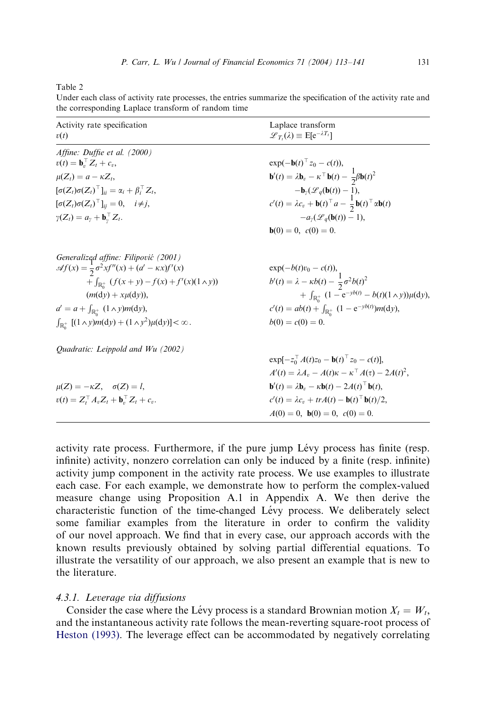Table 2

Under each class of activity rate processes, the entries summarize the specification of the activity rate and the corresponding Laplace transform of random time

| Activity rate specification<br>v(t)                                            | Laplace transform<br>$\mathscr{L}_T(\lambda) \equiv \mathrm{E}[e^{-\lambda T_t}]$                                                                                   |
|--------------------------------------------------------------------------------|---------------------------------------------------------------------------------------------------------------------------------------------------------------------|
| Affine: Duffie et al. (2000)                                                   |                                                                                                                                                                     |
| $v(t) = \mathbf{b}_{n}^{\top} Z_{t} + c_{n}$                                   | $\exp(-\mathbf{b}(t)^{\top} z_0 - c(t)),$                                                                                                                           |
| $\mu(Z_t) = a - \kappa Z_t.$                                                   | $\mathbf{b}'(t) = \lambda \mathbf{b}_v - \kappa^\top \mathbf{b}(t) - \frac{1}{2} \beta \mathbf{b}(t)^2$                                                             |
| $\left[\sigma(Z_t)\sigma(Z_t)^\top\right]_{ii} = \alpha_i + \beta_i^\top Z_t,$ |                                                                                                                                                                     |
| $[\sigma(Z_t)\sigma(Z_t)^{\top}]_{ii} = 0, \quad i \neq j,$                    | $-\mathbf{b}_{\gamma}(\mathcal{L}_q(\mathbf{b}(t)) - 1),$<br>$c'(t) = \lambda c_v + \mathbf{b}(t)^{\top} a - \frac{1}{2} \mathbf{b}(t)^{\top} \alpha \mathbf{b}(t)$ |
| $\gamma(Z_t) = a_\gamma + \mathbf{b}_\gamma^\top Z_t.$                         | $-a_v(\mathscr{L}_a(\mathbf{b}(t))-1),$                                                                                                                             |
|                                                                                | $\mathbf{b}(0) = 0, \ c(0) = 0.$                                                                                                                                    |
| Generalized affine: Filipović (2001)                                           |                                                                                                                                                                     |
| $\mathscr{A}f(x) = \frac{1}{2} \sigma^2 x f''(x) + (d' - \kappa x) f'(x)$      |                                                                                                                                                                     |
| + $\int_{\mathbb{R}^+_2} (f(x+y) - f(x) + f'(x)(1 \wedge y))$                  | $\exp(-b(t)v_0 - c(t)),$<br>$b'(t) = \lambda - \kappa b(t) - \frac{1}{2}\sigma^2 b(t)^2$                                                                            |
| $(m(dy) + xu(dy))$ ,                                                           | $+ \int_{\mathbb{R}^+_0} (1 - e^{-y b(t)} - b(t)(1 \wedge y)) \mu(dy),$                                                                                             |
| $a' = a + \int_{\mathbb{R}^+} (1 \wedge y) m(dy),$                             | $c'(t) = ab(t) + \int_{\mathbb{R}^+} (1 - e^{-y b(t)}) m(dy),$                                                                                                      |
| $\int_{\mathbb{R}^+} [(1 \wedge y) m(dy) + (1 \wedge y^2) \mu(dy)] < \infty$ . | $b(0) = c(0) = 0.$                                                                                                                                                  |
| Quadratic: Leippold and Wu (2002)                                              |                                                                                                                                                                     |
|                                                                                | $\exp[-z_0^{\top} A(t)z_0 - \mathbf{b}(t)^{\top} z_0 - c(t)].$                                                                                                      |
|                                                                                | $A'(t) = \lambda A_n - A(t)\kappa - \kappa^{T} A(\tau) - 2A(t)^{2}$ .                                                                                               |
| $\mu(Z) = -\kappa Z$ , $\sigma(Z) = l$ .                                       | $\mathbf{b}'(t) = \lambda \mathbf{b}_v - \kappa \mathbf{b}(t) - 2A(t)^{\top} \mathbf{b}(t).$                                                                        |
| $v(t) = Z_{t}^{T} A_{v} Z_{t} + \mathbf{b}_{v}^{T} Z_{t} + c_{v}.$             | $c'(t) = \lambda c_n + tr A(t) - \mathbf{b}(t)^{\top} \mathbf{b}(t)/2$ ,                                                                                            |
|                                                                                | $A(0) = 0$ , $b(0) = 0$ , $c(0) = 0$ .                                                                                                                              |

activity rate process. Furthermore, if the pure jump Lévy process has finite (resp. infinite) activity, nonzero correlation can only be induced by a finite (resp. infinite) activity jump component in the activity rate process. We use examples to illustrate each case. For each example, we demonstrate how to perform the complex-valued measure change using Proposition A.1 in Appendix A. We then derive the characteristic function of the time-changed Lévy process. We deliberately select some familiar examples from the literature in order to confirm the validity of our novel approach. We find that in everycase, our approach accords with the known results previouslyobtained bysolving partial differential equations. To illustrate the versatilityof our approach, we also present an example that is new to the literature.

## 4.3.1. Leverage via diffusions

Consider the case where the Lévy process is a standard Brownian motion  $X_t = W_t$ , and the instantaneous activity rate follows the mean-reverting square-root process of [Heston \(1993\).](#page-27-0) The leverage effect can be accommodated by negatively correlating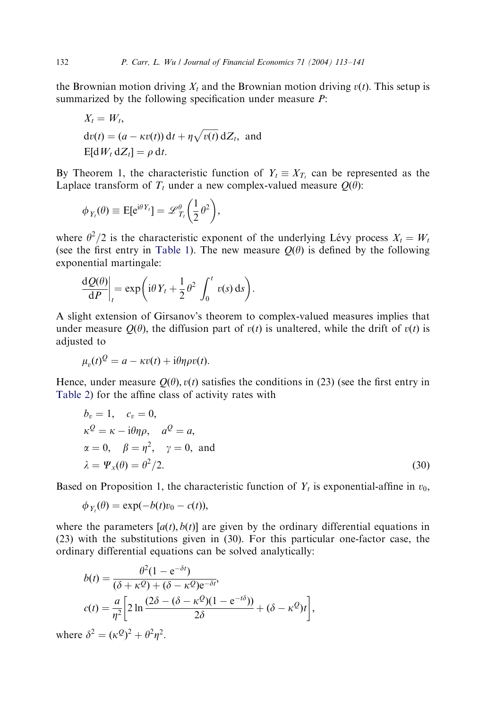the Brownian motion driving  $X_t$  and the Brownian motion driving  $v(t)$ . This setup is summarized by the following specification under measure  $P$ :

$$
X_t = W_t,
$$
  
\n
$$
dv(t) = (a - \kappa v(t)) dt + \eta \sqrt{v(t)} dZ_t
$$
, and  
\n
$$
E[dW_t dZ_t] = \rho dt.
$$

By Theorem 1, the characteristic function of  $Y_t \equiv X_{T_t}$  can be represented as the Laplace transform of  $T_t$  under a new complex-valued measure  $Q(\theta)$ :

$$
\phi_{Y_t}(\theta) \equiv \mathrm{E}[e^{i\theta Y_t}] = \mathscr{L}^{\theta}_{T_t} \left(\frac{1}{2} \theta^2\right),
$$

where  $\theta^2/2$  is the characteristic exponent of the underlying Lévy process  $X_t = W_t$ (see the first entry in Table 1). The new measure  $Q(\theta)$  is defined by the following exponential martingale:

$$
\frac{\mathrm{d}Q(\theta)}{\mathrm{d}P}\bigg|_{t} = \exp\bigg(i\theta Y_t + \frac{1}{2}\theta^2 \int_0^t v(s) \,\mathrm{d}s\bigg).
$$

A slight extension of Girsanov's theorem to complex-valued measures implies that under measure  $Q(\theta)$ , the diffusion part of  $v(t)$  is unaltered, while the drift of  $v(t)$  is adjusted to

$$
\mu_v(t)^{\mathcal{Q}} = a - \kappa v(t) + i\theta \eta \rho v(t).
$$

Hence, under measure  $Q(\theta)$ ,  $v(t)$  satisfies the conditions in (23) (see the first entry in Table 2) for the affine class of activity rates with

$$
b_v = 1, c_v = 0,
$$
  
\n
$$
\kappa^Q = \kappa - i\theta \eta \rho, a^Q = a,
$$
  
\n
$$
\alpha = 0, \beta = \eta^2, \gamma = 0, \text{ and}
$$
  
\n
$$
\lambda = \Psi_x(\theta) = \theta^2/2.
$$
\n(30)

Based on Proposition 1, the characteristic function of  $Y_t$  is exponential-affine in  $v_0$ ,

$$
\phi_{Y_t}(\theta) = \exp(-b(t)v_0 - c(t)),
$$

where the parameters  $[a(t), b(t)]$  are given by the ordinary differential equations in (23) with the substitutions given in (30). For this particular one-factor case, the ordinary differential equations can be solved analytically:

$$
b(t) = \frac{\theta^2 (1 - e^{-\delta t})}{(\delta + \kappa^2) + (\delta - \kappa^2) e^{-\delta t}},
$$
  

$$
c(t) = \frac{a}{\eta^2} \left[ 2 \ln \frac{(2\delta - (\delta - \kappa^2)(1 - e^{-t\delta}))}{2\delta} + (\delta - \kappa^2)t \right],
$$
  

$$
\epsilon^2 \delta^2 - (\kappa^2)^2 + \theta^2 \kappa^2
$$

where  $\delta^2 = (\kappa^Q)^2 + \theta^2 \eta^2$ .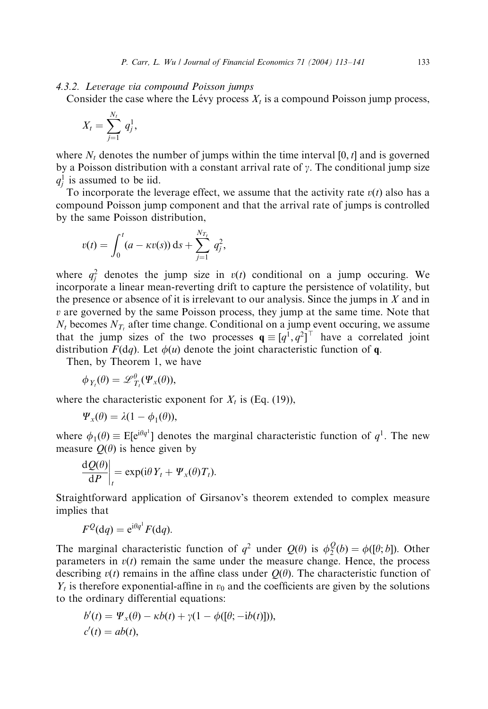4.3.2. Leverage via compound Poisson jumps

Consider the case where the Lévy process  $X_t$  is a compound Poisson jump process,

$$
X_t = \sum_{j=1}^{N_t} q_j^1,
$$

where  $N_t$  denotes the number of jumps within the time interval [0,  $t$ ] and is governed by a Poisson distribution with a constant arrival rate of  $\gamma$ . The conditional jump size  $q_j^1$  is assumed to be iid.

To incorporate the leverage effect, we assume that the activity rate  $v(t)$  also has a compound Poisson jump component and that the arrival rate of jumps is controlled by the same Poisson distribution,

$$
v(t) = \int_0^t (a - \kappa v(s)) \, ds + \sum_{j=1}^{N_{T_t}} q_j^2,
$$

where  $q_j^2$  denotes the jump size in  $v(t)$  conditional on a jump occuring. We incorporate a linear mean-reverting drift to capture the persistence of volatility, but the presence or absence of it is irrelevant to our analysis. Since the jumps in  $X$  and in  $v$  are governed by the same Poisson process, they jump at the same time. Note that  $N_t$  becomes  $N_T$ , after time change. Conditional on a jump event occuring, we assume that the jump sizes of the two processes  $\mathbf{q} \equiv [q^1, q^2]^\top$  have a correlated joint distribution  $F(dq)$ . Let  $\phi(u)$  denote the joint characteristic function of q.

Then, by Theorem 1, we have

$$
\phi_{Y_t}(\theta) = \mathscr{L}^{\theta}_{T_t}(\Psi_x(\theta)),
$$

where the characteristic exponent for  $X_t$  is (Eq. (19)),

$$
\Psi_{x}(\theta) = \lambda(1 - \phi_1(\theta)),
$$

where  $\phi_1(\theta) \equiv E[e^{i\theta q^1}]$  denotes the marginal characteristic function of  $q^1$ . The new measure  $O(\theta)$  is hence given by

$$
\left. \frac{\mathrm{d}Q(\theta)}{\mathrm{d}P} \right|_t = \exp(\mathrm{i}\theta Y_t + \Psi_x(\theta)T_t).
$$

Straightforward application of Girsanov's theorem extended to complex measure implies that

$$
F^{\mathcal{Q}}(\mathrm{d}q) = \mathrm{e}^{\mathrm{i}\theta q^1} F(\mathrm{d}q).
$$

The marginal characteristic function of  $q^2$  under  $Q(\theta)$  is  $\phi_2^Q(b) = \phi([\theta;b])$ . Other parameters in  $v(t)$  remain the same under the measure change. Hence, the process describing  $v(t)$  remains in the affine class under  $O(\theta)$ . The characteristic function of  $Y_t$  is therefore exponential-affine in  $v_0$  and the coefficients are given by the solutions to the ordinary differential equations:

$$
b'(t) = \Psi_x(\theta) - \kappa b(t) + \gamma (1 - \phi([\theta; -ib(t)])),
$$
  

$$
c'(t) = ab(t),
$$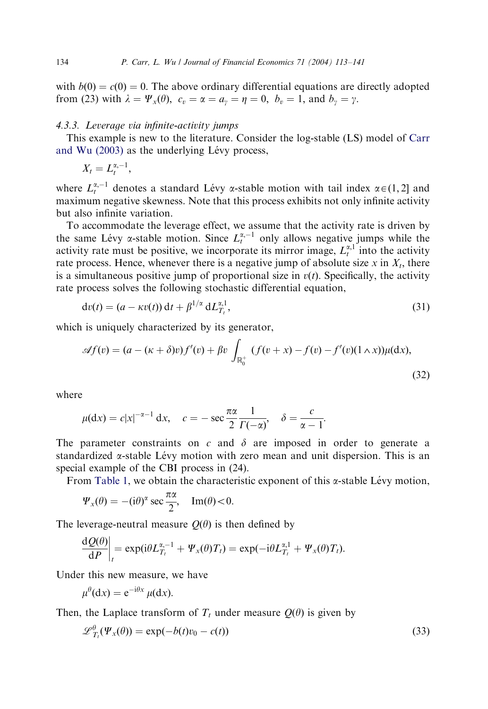with  $b(0) = c(0) = 0$ . The above ordinary differential equations are directly adopted from (23) with  $\lambda = \Psi_x(\theta)$ ,  $c_v = \alpha = a_y = \eta = 0$ ,  $b_v = 1$ , and  $b_v = \gamma$ .

## 4.3.3. Leverage via infinite-activity jumps

This example is new to the literature. Consider the log-stable (LS) model of [Carr](#page-26-0) and  $Wu$  (2003) as the underlying Lévy process,

$$
X_t=L_t^{\alpha,-1},
$$

where  $L_t^{\alpha,-1}$  denotes a standard Lévy  $\alpha$ -stable motion with tail index  $\alpha \in (1,2]$  and maximum negative skewness. Note that this process exhibits not only infinite activity but also infinite variation.

To accommodate the leverage effect, we assume that the activity rate is driven by the same Lévy  $\alpha$ -stable motion. Since  $L_t^{\alpha,-1}$  only allows negative jumps while the activity rate must be positive, we incorporate its mirror image,  $L_t^{\alpha,1}$  into the activity rate process. Hence, whenever there is a negative jump of absolute size  $x$  in  $X_t$ , there is a simultaneous positive jump of proportional size in  $v(t)$ . Specifically, the activity rate process solves the following stochastic differential equation,

$$
\mathrm{d}v(t) = (a - \kappa v(t)) \, \mathrm{d}t + \beta^{1/\alpha} \, \mathrm{d}L_{T_t}^{\alpha,1},\tag{31}
$$

which is uniquely characterized by its generator,

$$
\mathscr{A}f(v) = (a - (\kappa + \delta)v)f'(v) + \beta v \int_{\mathbb{R}_0^+} (f(v + x) - f(v) - f'(v)(1 \wedge x))\mu(\mathrm{d}x),\tag{32}
$$

where

$$
\mu(\mathrm{d}x) = c|x|^{-\alpha-1} \,\mathrm{d}x, \quad c = -\sec\frac{\pi\alpha}{2} \frac{1}{\Gamma(-\alpha)}, \quad \delta = \frac{c}{\alpha-1}.
$$

The parameter constraints on c and  $\delta$  are imposed in order to generate a standardized  $\alpha$ -stable Lévy motion with zero mean and unit dispersion. This is an special example of the CBI process in (24).

From Table 1, we obtain the characteristic exponent of this  $\alpha$ -stable Lévy motion,

$$
\Psi_x(\theta) = -(\mathrm{i}\theta)^\alpha \sec \frac{\pi \alpha}{2}, \quad \mathrm{Im}(\theta) < 0.
$$

The leverage-neutral measure  $Q(\theta)$  is then defined by

$$
\left. \frac{\mathrm{d}Q(\theta)}{\mathrm{d}P} \right|_{t} = \exp(\mathrm{i}\theta L_{T_t}^{\alpha-1} + \Psi_x(\theta)T_t) = \exp(-\mathrm{i}\theta L_{T_t}^{\alpha,1} + \Psi_x(\theta)T_t).
$$

Under this new measure, we have

$$
\mu^{\theta}(\mathrm{d}x) = \mathrm{e}^{-\mathrm{i}\theta x} \,\mu(\mathrm{d}x).
$$

Then, the Laplace transform of  $T_t$  under measure  $Q(\theta)$  is given by

$$
\mathcal{L}_{T_t}^{\theta}(\Psi_x(\theta)) = \exp(-b(t)v_0 - c(t))
$$
\n(33)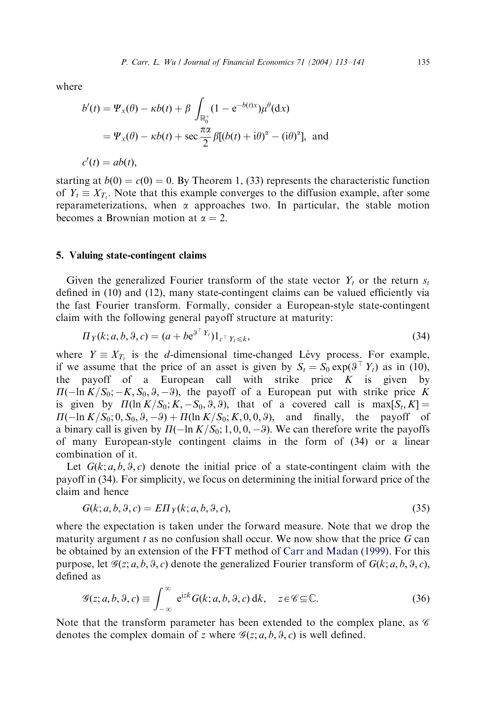where

$$
b'(t) = \Psi_x(\theta) - \kappa b(t) + \beta \int_{\mathbb{R}_0^+} (1 - e^{-b(t)x}) \mu^{\theta} (dx)
$$
  
=  $\Psi_x(\theta) - \kappa b(t) + \sec \frac{\pi \alpha}{2} \beta [ (b(t) + i\theta)^{\alpha} - (i\theta)^{\alpha} ]$ , and

 $c'(t) = ab(t),$ 

starting at  $b(0) = c(0) = 0$ . By Theorem 1, (33) represents the characteristic function of  $Y_t \equiv X_T$ . Note that this example converges to the diffusion example, after some reparameterizations, when  $\alpha$  approaches two. In particular, the stable motion becomes a Brownian motion at  $\alpha = 2$ .

## 5. Valuing state-contingent claims

Given the generalized Fourier transform of the state vector  $Y_t$  or the return  $s_t$ defined in  $(10)$  and  $(12)$ , many state-contingent claims can be valued efficiently via the fast Fourier transform. Formally, consider a European-style state-contingent claim with the following general payoff structure at maturity:

$$
\Pi_Y(k; a, b, \vartheta, c) = (a + b e^{\vartheta^{\perp} Y_t}) 1_{c^{\top} Y_t \le k},\tag{34}
$$

where  $Y \equiv X_T$  is the d-dimensional time-changed Lévy process. For example, if we assume that the price of an asset is given by  $S_t = S_0 \exp(\theta^\top Y_t)$  as in (10), the payoff of a European call with strike price  $K$  is given by  $\Pi(-\ln K/S_0; -K, S_0, \vartheta, -\vartheta)$ , the payoff of a European put with strike price K is given by  $\Pi(\ln K/S_0; K, -S_0, \vartheta, \vartheta)$ , that of a covered call is  $\max[S_t, K] =$  $\Pi(-\ln K/S_0; 0, S_0, 9, -9) + \Pi(\ln K/S_0; K, 0, 0, 9)$ , and finally, the payoff of a binary call is given by  $\Pi(-\ln K/S_0; 1, 0, 0, -9)$ . We can therefore write the payoffs of many European-style contingent claims in the form of (34) or a linear combination of it.

Let  $G(k; a, b, \vartheta, c)$  denote the initial price of a state-contingent claim with the payoff in (34). For simplicity, we focus on determining the initial forward price of the claim and hence

$$
G(k; a, b, \vartheta, c) = E\Pi_Y(k; a, b, \vartheta, c),\tag{35}
$$

where the expectation is taken under the forward measure. Note that we drop the maturity argument  $t$  as no confusion shall occur. We now show that the price  $G$  can be obtained byan extension of the FFT method of [Carr and Madan \(1999\)](#page-26-0). For this purpose, let  $\mathcal{G}(z; a, b, \vartheta, c)$  denote the generalized Fourier transform of  $G(k; a, b, \vartheta, c)$ , defined as

$$
\mathcal{G}(z; a, b, \vartheta, c) \equiv \int_{-\infty}^{\infty} e^{izk} G(k; a, b, \vartheta, c) dk, \quad z \in \mathscr{C} \subseteq \mathbb{C}.
$$
 (36)

Note that the transform parameter has been extended to the complex plane, as  $\mathscr C$ denotes the complex domain of z where  $\mathcal{G}(z; a, b, \vartheta, c)$  is well defined.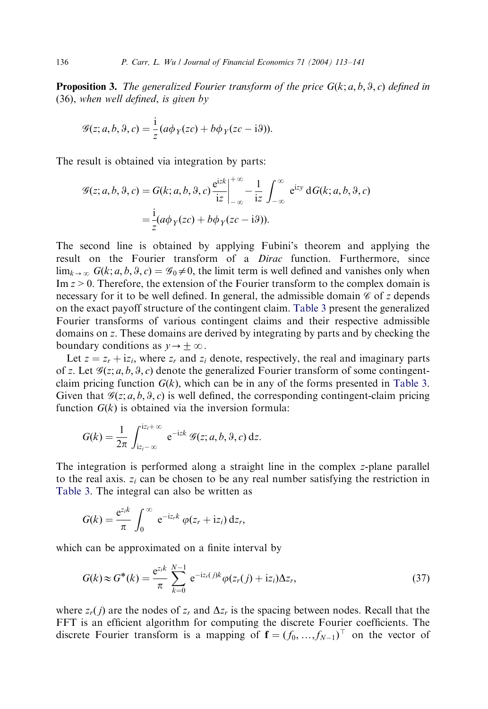**Proposition 3.** The generalized Fourier transform of the price  $G(k; a, b, \vartheta, c)$  defined in (36), when well defined, is given by

$$
\mathcal{G}(z; a, b, \vartheta, c) = \frac{i}{z} (a\phi_Y(zc) + b\phi_Y(zc - i\vartheta)).
$$

The result is obtained via integration by parts:

$$
\mathcal{G}(z; a, b, \vartheta, c) = G(k; a, b, \vartheta, c) \frac{e^{izk}}{iz} \Big|_{-\infty}^{+\infty} - \frac{1}{iz} \int_{-\infty}^{\infty} e^{izy} dG(k; a, b, \vartheta, c)
$$

$$
= \frac{i}{z} (a\phi_Y(zc) + b\phi_Y(zc - i\vartheta)).
$$

The second line is obtained by applying Fubini's theorem and applying the result on the Fourier transform of a Dirac function. Furthermore, since  $\lim_{k\to\infty} G(k; a, b, \vartheta, c) = \mathscr{G}_0 \neq 0$ , the limit term is well defined and vanishes only when  $\text{Im } z > 0$ . Therefore, the extension of the Fourier transform to the complex domain is necessary for it to be well defined. In general, the admissible domain  $\mathscr{C}$  of z depends on the exact payoff structure of the contingent claim. [Table 3](#page-24-0) present the generalized Fourier transforms of various contingent claims and their respective admissible domains on z. These domains are derived by integrating by parts and by checking the boundary conditions as  $y \rightarrow +\infty$ .

Let  $z = z_r + iz_i$ , where  $z_r$  and  $z_i$  denote, respectively, the real and imaginary parts of z. Let  $\mathcal{G}(z; a, b, \vartheta, c)$  denote the generalized Fourier transform of some contingentclaim pricing function  $G(k)$ , which can be in any of the forms presented in [Table 3.](#page-24-0) Given that  $\mathcal{G}(z; a, b, \vartheta, c)$  is well defined, the corresponding contingent-claim pricing function  $G(k)$  is obtained via the inversion formula:

$$
G(k) = \frac{1}{2\pi} \int_{i z_i - \infty}^{i z_i + \infty} e^{-i z k} \mathcal{G}(z; a, b, \vartheta, c) dz.
$$

The integration is performed along a straight line in the complex z-plane parallel to the real axis.  $z_i$  can be chosen to be any real number satisfying the restriction in [Table 3](#page-24-0). The integral can also be written as

$$
G(k) = \frac{e^{z_i k}}{\pi} \int_0^\infty e^{-iz_r k} \varphi(z_r + iz_i) dz_r,
$$

which can be approximated on a finite interval by

$$
G(k) \approx G^*(k) = \frac{e^{z_i k}}{\pi} \sum_{k=0}^{N-1} e^{-iz_r(j)k} \varphi(z_r(j) + iz_i) \Delta z_r,
$$
 (37)

where  $z_r(j)$  are the nodes of  $z_r$  and  $\Delta z_r$  is the spacing between nodes. Recall that the FFT is an efficient algorithm for computing the discrete Fourier coefficients. The discrete Fourier transform is a mapping of  $f = (f_0, ..., f_{N-1})^\top$  on the vector of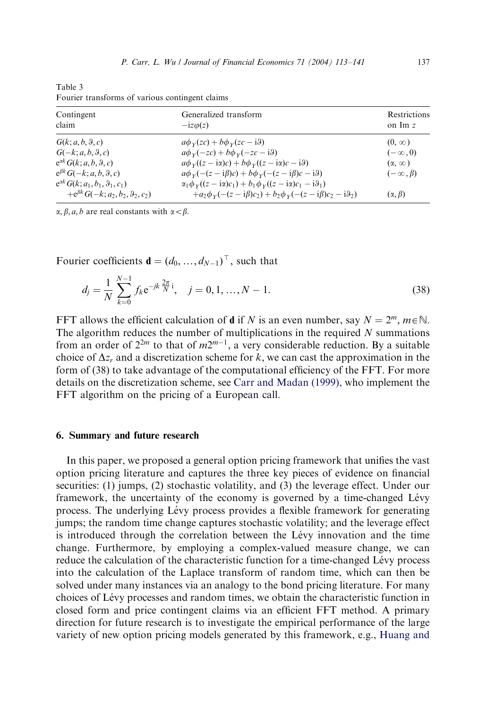| Contingent<br>claim                             | Generalized transform<br>$-iz\varphi(z)$                                      | Restrictions<br>on Im $z$ |  |  |
|-------------------------------------------------|-------------------------------------------------------------------------------|---------------------------|--|--|
| $G(k; a, b, \vartheta, c)$                      | $a\phi_y(zc) + b\phi_y(zc - i\theta)$                                         | $(0, \infty)$             |  |  |
| $G(-k; a, b, 9, c)$                             | $a\phi_y(-zc) + b\phi_y(-zc - i\theta)$                                       | $(-\infty,0)$             |  |  |
| $e^{\alpha k} G(k; a, b, \vartheta, c)$         | $a\phi_y((z-i\alpha)c) + b\phi_y((z-i\alpha)c-i\theta)$                       | $(\alpha, \infty)$        |  |  |
| $e^{\beta k} G(-k; a, b, \vartheta, c)$         | $a\phi_y(-(z-i\beta)c) + b\phi_y(-(z-i\beta)c-i\beta)$                        | $(-\infty, \beta)$        |  |  |
| $e^{\alpha k} G(k; a_1, b_1, \vartheta_1, c_1)$ | $\alpha_1 \phi_Y((z - i\alpha)c_1) + b_1 \phi_Y((z - i\alpha)c_1 - i\beta_1)$ |                           |  |  |
| $+e^{\beta k}G(-k; a_2, b_2, \vartheta_2, c_2)$ | $+a_2\phi_y(-(z-i\beta)c_2)+b_2\phi_y(-(z-i\beta)c_2-i\beta_2)$               | $(\alpha, \beta)$         |  |  |

<span id="page-24-0"></span>Table 3 Fourier transforms of various contingent claims

 $\alpha$ ,  $\beta$ ,  $a$ ,  $b$  are real constants with  $\alpha < \beta$ .

Fourier coefficients  $\mathbf{d} = (d_0, ..., d_{N-1})^\top$ , such that

$$
d_j = \frac{1}{N} \sum_{k=0}^{N-1} f_k e^{-jk \frac{2\pi}{N} i}, \quad j = 0, 1, ..., N-1.
$$
 (38)

FFT allows the efficient calculation of **d** if N is an even number, say  $N = 2^m$ ,  $m \in \mathbb{N}$ . The algorithm reduces the number of multiplications in the required  $N$  summations from an order of  $2^{2m}$  to that of  $m2^{m-1}$ , a very considerable reduction. By a suitable choice of  $\Delta z_r$  and a discretization scheme for k, we can cast the approximation in the form of (38) to take advantage of the computational efficiency of the FFT. For more details on the discretization scheme, see [Carr and Madan \(1999\),](#page-26-0) who implement the FFT algorithm on the pricing of a European call.

#### 6. Summary and future research

In this paper, we proposed a general option pricing framework that unifies the vast option pricing literature and captures the three keypieces of evidence on financial securities: (1) jumps, (2) stochastic volatility, and (3) the leverage effect. Under our framework, the uncertainty of the economy is governed by a time-changed Lévy process. The underlying Lévy process provides a flexible framework for generating jumps; the random time change captures stochastic volatility; and the leverage effect is introduced through the correlation between the Lévy innovation and the time change. Furthermore, byemploying a complex-valued measure change, we can reduce the calculation of the characteristic function for a time-changed Lévy process into the calculation of the Laplace transform of random time, which can then be solved under many instances via an analogy to the bond pricing literature. For many choices of Lévy processes and random times, we obtain the characteristic function in closed form and price contingent claims via an efficient FFT method. A primary direction for future research is to investigate the empirical performance of the large varietyof new option pricing models generated bythis framework, e.g., [Huang and](#page-27-0)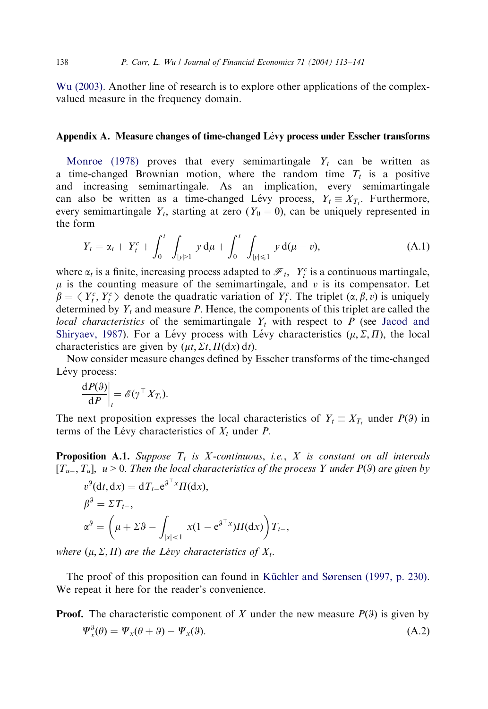[Wu \(2003\).](#page-27-0) Another line of research is to explore other applications of the complexvalued measure in the frequency domain.

#### Appendix A. Measure changes of time-changed Lévy process under Esscher transforms

[Monroe \(1978\)](#page-28-0) proves that every semimartingale  $Y_t$  can be written as a time-changed Brownian motion, where the random time  $T_t$  is a positive and increasing semimartingale. As an implication, every semimartingale can also be written as a time-changed Lévy process,  $Y_t \equiv X_T$ . Furthermore, every semimartingale  $Y_t$ , starting at zero  $(Y_0 = 0)$ , can be uniquely represented in the form

$$
Y_t = \alpha_t + Y_t^c + \int_0^t \int_{|y| > 1} y \, d\mu + \int_0^t \int_{|y| \leq 1} y \, d(\mu - v), \tag{A.1}
$$

where  $\alpha_t$  is a finite, increasing process adapted to  $\mathcal{F}_t$ ,  $Y_t^c$  is a continuous martingale,  $\mu$  is the counting measure of the semimartingale, and v is its compensator. Let  $\beta = \langle Y_t^c, Y_t^c \rangle$  denote the quadratic variation of  $Y_t^c$ . The triplet  $(\alpha, \beta, v)$  is uniquely determined by *Y*, and measure *P*. Hence, the components of this triplet are called the determined by  $Y_t$  and measure P. Hence, the components of this triplet are called the *local characteristics* of the semimartingale  $Y_t$  with respect to P (see [Jacod and](#page-27-0) [Shiryaev, 1987\)](#page-27-0). For a Lévy process with Lévy characteristics  $(\mu, \Sigma, \Pi)$ , the local characteristics are given by  $(\mu t, \Sigma t, \Pi(dx) dt)$ .

Now consider measure changes defined byEsscher transforms of the time-changed Lévy process:

$$
\left. \frac{\mathrm{d} P(\vartheta)}{\mathrm{d} P} \right|_t = \mathscr{E}(\gamma^\top X_{T_t}).
$$

The next proposition expresses the local characteristics of  $Y_t \equiv X_T$ , under  $P(\theta)$  in terms of the Lévy characteristics of  $X_t$  under P.

**Proposition A.1.** Suppose  $T_t$  is X-continuous, i.e., X is constant on all intervals  $[T_{u-}, T_u]$ ,  $u > 0$ . Then the local characteristics of the process Y under  $P(9)$  are given by

$$
v^{9}(dt, dx) = dT_{t-}e^{9+x}H(dx),
$$
  
\n
$$
\beta^{9} = \Sigma T_{t-},
$$
  
\n
$$
\alpha^{9} = \left(\mu + \Sigma 9 - \int_{|x| < 1} x(1 - e^{9+x})H(dx)\right)T_{t-},
$$

where  $(\mu, \Sigma, \Pi)$  are the Lévy characteristics of  $X_t$ .

The proof of this proposition can found in [K](#page-27-0)ü[chler and S](#page-27-0)ø[rensen \(1997, p. 230\).](#page-27-0) We repeat it here for the reader's convenience.

**Proof.** The characteristic component of X under the new measure 
$$
P(3)
$$
 is given by  $\Psi_x^9(\theta) = \Psi_x(\theta + 9) - \Psi_x(3)$ . (A.2)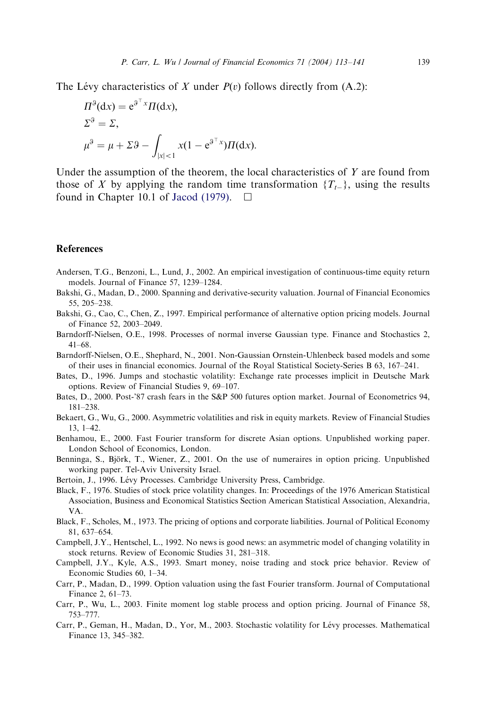<span id="page-26-0"></span>The Lévy characteristics of X under  $P(v)$  follows directly from (A.2):

$$
H^{9}(\mathrm{d}x) = e^{9+x}H(\mathrm{d}x),
$$
  
\n
$$
\Sigma^{9} = \Sigma,
$$
  
\n
$$
\mu^{9} = \mu + \Sigma 9 - \int_{|x| < 1} x(1 - e^{9-x})H(\mathrm{d}x).
$$

Under the assumption of the theorem, the local characteristics of  $Y$  are found from those of X by applying the random time transformation  $\{T_{t-}\}\$ , using the results found in Chapter 10.1 of [Jacod \(1979\).](#page-27-0)  $\Box$ 

# **References**

- Andersen, T.G., Benzoni, L., Lund, J., 2002. An empirical investigation of continuous-time equity return models. Journal of Finance 57, 1239–1284.
- Bakshi, G., Madan, D., 2000. Spanning and derivative-security valuation. Journal of Financial Economics 55, 205–238.
- Bakshi, G., Cao, C., Chen, Z., 1997. Empirical performance of alternative option pricing models. Journal of Finance 52, 2003–2049.
- Barndorff-Nielsen, O.E., 1998. Processes of normal inverse Gaussian type. Finance and Stochastics 2, 41–68.
- Barndorff-Nielsen, O.E., Shephard, N., 2001. Non-Gaussian Ornstein-Uhlenbeck based models and some of their uses in financial economics. Journal of the Royal Statistical Society-Series B 63, 167–241.
- Bates, D., 1996. Jumps and stochastic volatility: Exchange rate processes implicit in Deutsche Mark options. Review of Financial Studies 9, 69–107.
- Bates, D., 2000. Post-'87 crash fears in the S&P 500 futures option market. Journal of Econometrics 94, 181–238.
- Bekaert, G., Wu, G., 2000. Asymmetric volatilities and risk in equity markets. Review of Financial Studies 13, 1–42.
- Benhamou, E., 2000. Fast Fourier transform for discrete Asian options. Unpublished working paper. London School of Economics, London.
- Benninga, S., Björk, T., Wiener, Z., 2001. On the use of numeraires in option pricing. Unpublished working paper. Tel-Aviv University Israel.
- Bertoin, J., 1996. Lévy Processes. Cambridge University Press, Cambridge.
- Black, F., 1976. Studies of stock price volatility changes. In: Proceedings of the 1976 American Statistical Association, Business and Economical Statistics Section American Statistical Association, Alexandria, VA.
- Black, F., Scholes, M., 1973. The pricing of options and corporate liabilities. Journal of Political Economy 81, 637–654.
- Campbell, J.Y., Hentschel, L., 1992. No news is good news: an asymmetric model of changing volatility in stock returns. Review of Economic Studies 31, 281–318.
- Campbell, J.Y., Kyle, A.S., 1993. Smart money, noise trading and stock price behavior. Review of Economic Studies 60, 1–34.
- Carr, P., Madan, D., 1999. Option valuation using the fast Fourier transform. Journal of Computational Finance 2, 61–73.
- Carr, P., Wu, L., 2003. Finite moment log stable process and option pricing. Journal of Finance 58, 753–777.
- Carr, P., Geman, H., Madan, D., Yor, M., 2003. Stochastic volatility for Lévy processes. Mathematical Finance 13, 345–382.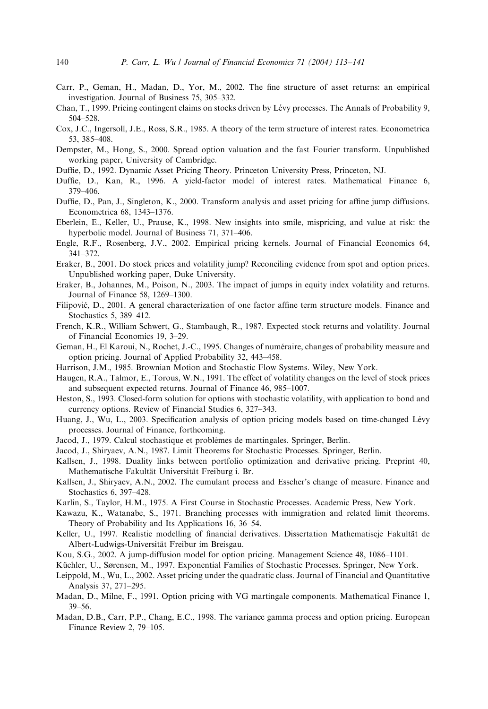- <span id="page-27-0"></span>Carr, P., Geman, H., Madan, D., Yor, M., 2002. The fine structure of asset returns: an empirical investigation. Journal of Business 75, 305–332.
- Chan, T., 1999. Pricing contingent claims on stocks driven by Lévy processes. The Annals of Probability 9, 504–528.
- Cox, J.C., Ingersoll, J.E., Ross, S.R., 1985. A theoryof the term structure of interest rates. Econometrica 53, 385–408.
- Dempster, M., Hong, S., 2000. Spread option valuation and the fast Fourier transform. Unpublished working paper, University of Cambridge.
- Duffie, D., 1992. Dynamic Asset Pricing Theory. Princeton University Press, Princeton, NJ.
- Duffie, D., Kan, R., 1996. A yield-factor model of interest rates. Mathematical Finance 6, 379–406.
- Duffie, D., Pan, J., Singleton, K., 2000. Transform analysis and asset pricing for affine jump diffusions. Econometrica 68, 1343–1376.
- Eberlein, E., Keller, U., Prause, K., 1998. New insights into smile, mispricing, and value at risk: the hyperbolic model. Journal of Business 71, 371–406.
- Engle, R.F., Rosenberg, J.V., 2002. Empirical pricing kernels. Journal of Financial Economics 64, 341–372.
- Eraker, B., 2001. Do stock prices and volatilityjump? Reconciling evidence from spot and option prices. Unpublished working paper, Duke University.
- Eraker, B., Johannes, M., Poison, N., 2003. The impact of jumps in equity index volatility and returns. Journal of Finance 58, 1269–1300.
- Filipović, D., 2001. A general characterization of one factor affine term structure models. Finance and Stochastics 5, 389–412.
- French, K.R., William Schwert, G., Stambaugh, R., 1987. Expected stock returns and volatility. Journal of Financial Economics 19, 3–29.
- Geman, H., El Karoui, N., Rochet, J.-C., 1995. Changes of numéraire, changes of probability measure and option pricing. Journal of Applied Probability 32, 443-458.
- Harrison, J.M., 1985. Brownian Motion and Stochastic Flow Systems. Wiley, New York.
- Haugen, R.A., Talmor, E., Torous, W.N., 1991. The effect of volatility changes on the level of stock prices and subsequent expected returns. Journal of Finance 46, 985–1007.
- Heston, S., 1993. Closed-form solution for options with stochastic volatility, with application to bond and currency options. Review of Financial Studies 6, 327–343.
- Huang, J., Wu, L., 2003. Specification analysis of option pricing models based on time-changed Lévy processes. Journal of Finance, forthcoming.
- Jacod, J., 1979. Calcul stochastique et problèmes de martingales. Springer, Berlin.
- Jacod, J., Shiryaev, A.N., 1987. Limit Theorems for Stochastic Processes. Springer, Berlin.
- Kallsen, J., 1998. Duality links between portfolio optimization and derivative pricing. Preprint 40, Mathematische Fakultät Universität Freiburg i. Br.
- Kallsen, J., Shiryaev, A.N., 2002. The cumulant process and Esscher's change of measure. Finance and Stochastics 6, 397–428.
- Karlin, S., Taylor, H.M., 1975. A First Course in Stochastic Processes. Academic Press, New York.
- Kawazu, K., Watanabe, S., 1971. Branching processes with immigration and related limit theorems. Theory of Probability and Its Applications 16, 36–54.
- Keller, U., 1997. Realistic modelling of financial derivatives. Dissertation Mathematiscje Fakultät de Albert-Ludwigs-Universitat Freibur im Breisgau. .
- Kou, S.G., 2002. A jump-diffusion model for option pricing. Management Science 48, 1086–1101.
- Küchler, U., Sørensen, M., 1997. Exponential Families of Stochastic Processes. Springer, New York.
- Leippold, M., Wu, L., 2002. Asset pricing under the quadratic class. Journal of Financial and Quantitative Analysis 37, 271–295.
- Madan, D., Milne, F., 1991. Option pricing with VG martingale components. Mathematical Finance 1, 39–56.
- Madan, D.B., Carr, P.P., Chang, E.C., 1998. The variance gamma process and option pricing. European Finance Review 2, 79–105.